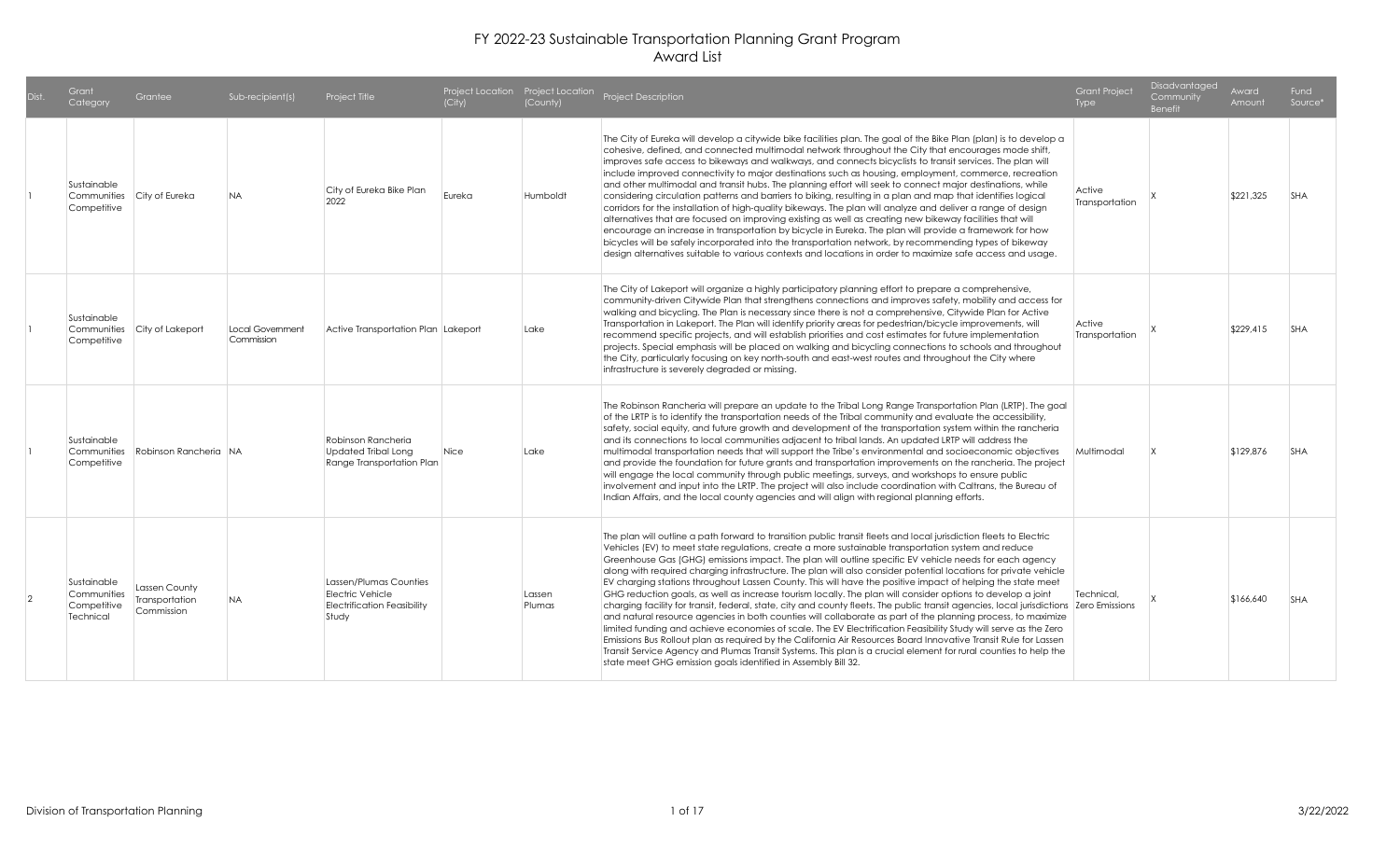| Grant<br>Category                                             | Grantee                                       | Sub-recipient(s)               | Project Title                                                                                    | (City) | (County)         | Project Location Project Location Project Description                                                                                                                                                                                                                                                                                                                                                                                                                                                                                                                                                                                                                                                                                                                                                                                                                                                                                                                                                                                                                                                                                                                                                                                                                                                                                                                      | <b>Grant Project</b><br>Type | Disadvantaged<br>Community<br><b>Benefit</b> | Award<br>Amount | Fund<br>Source* |
|---------------------------------------------------------------|-----------------------------------------------|--------------------------------|--------------------------------------------------------------------------------------------------|--------|------------------|----------------------------------------------------------------------------------------------------------------------------------------------------------------------------------------------------------------------------------------------------------------------------------------------------------------------------------------------------------------------------------------------------------------------------------------------------------------------------------------------------------------------------------------------------------------------------------------------------------------------------------------------------------------------------------------------------------------------------------------------------------------------------------------------------------------------------------------------------------------------------------------------------------------------------------------------------------------------------------------------------------------------------------------------------------------------------------------------------------------------------------------------------------------------------------------------------------------------------------------------------------------------------------------------------------------------------------------------------------------------------|------------------------------|----------------------------------------------|-----------------|-----------------|
| Sustainable<br>Communities City of Eureka<br>Competitive      |                                               | <b>NA</b>                      | City of Eureka Bike Plan<br>2022                                                                 | Eureka | Humboldt         | The City of Eureka will develop a citywide bike facilities plan. The goal of the Bike Plan (plan) is to develop a<br>cohesive, defined, and connected multimodal network throughout the City that encourages mode shift,<br>improves safe access to bikeways and walkways, and connects bicyclists to transit services. The plan will<br>include improved connectivity to major destinations such as housing, employment, commerce, recreation<br>and other multimodal and transit hubs. The planning effort will seek to connect major destinations, while<br>considering circulation patterns and barriers to biking, resulting in a plan and map that identifies logical<br>corridors for the installation of high-quality bikeways. The plan will analyze and deliver a range of design<br>alternatives that are focused on improving existing as well as creating new bikeway facilities that will<br>encourage an increase in transportation by bicycle in Eureka. The plan will provide a framework for how<br>bicycles will be safely incorporated into the transportation network, by recommending types of bikeway<br>design alternatives suitable to various contexts and locations in order to maximize safe access and usage.                                                                                                                                 | Active<br>Transportation     |                                              | \$221,325       | <b>SHA</b>      |
| Sustainable<br>Competitive                                    | Communities City of Lakeport                  | Local Government<br>Commission | Active Transportation Plan Lakeport                                                              |        | Lake             | The City of Lakeport will organize a highly participatory planning effort to prepare a comprehensive,<br>community-driven Citywide Plan that strengthens connections and improves safety, mobility and access for<br>walking and bicycling. The Plan is necessary since there is not a comprehensive, Citywide Plan for Active<br>Transportation in Lakeport. The Plan will identify priority areas for pedestrian/bicycle improvements, will<br>recommend specific projects, and will establish priorities and cost estimates for future implementation<br>projects. Special emphasis will be placed on walking and bicycling connections to schools and throughout<br>the City, particularly focusing on key north-south and east-west routes and throughout the City where<br>infrastructure is severely degraded or missing.                                                                                                                                                                                                                                                                                                                                                                                                                                                                                                                                           | Active<br>Transportation     |                                              | \$229,415       | <b>SHA</b>      |
| Sustainable<br>Communities<br>Competitive                     | Robinson Rancheria NA                         |                                | Robinson Rancheria<br><b>Updated Tribal Long</b><br>Range Transportation Plan                    | Nice   | Lake             | The Robinson Rancheria will prepare an update to the Tribal Long Range Transportation Plan (LRTP). The goal<br>of the LRTP is to identify the transportation needs of the Tribal community and evaluate the accessibility,<br>safety, social equity, and future growth and development of the transportation system within the rancheria<br>and its connections to local communities adjacent to tribal lands. An updated LRTP will address the<br>multimodal transportation needs that will support the Tribe's environmental and socioeconomic objectives<br>and provide the foundation for future grants and transportation improvements on the rancheria. The project<br>will engage the local community through public meetings, surveys, and workshops to ensure public<br>involvement and input into the LRTP. The project will also include coordination with Caltrans, the Bureau of<br>Indian Affairs, and the local county agencies and will align with regional planning efforts.                                                                                                                                                                                                                                                                                                                                                                              | Multimodal                   |                                              | \$129,876       | <b>SHA</b>      |
| Sustainable<br>Communities<br>Competitive<br><b>Technical</b> | Lassen County<br>Transportation<br>Commission | NA.                            | Lassen/Plumas Counties<br><b>Flectric Vehicle</b><br><b>Electrification Feasibility</b><br>Study |        | Lassen<br>Plumas | The plan will outline a path forward to transition public transit fleets and local jurisdiction fleets to Electric<br>Vehicles (EV) to meet state regulations, create a more sustainable transportation system and reduce<br>Greenhouse Gas (GHG) emissions impact. The plan will outline specific EV vehicle needs for each agency<br>along with required charging infrastructure. The plan will also consider potential locations for private vehicle<br>EV charging stations throughout Lassen County. This will have the positive impact of helping the state meet<br>GHG reduction goals, as well as increase tourism locally. The plan will consider options to develop a joint<br>charging facility for transit, federal, state, city and county fleets. The public transit agencies, local jurisdictions Zero Emissions<br>and natural resource agencies in both counties will collaborate as part of the planning process, to maximize<br>limited funding and achieve economies of scale. The EV Electrification Feasibility Study will serve as the Zero<br>Emissions Bus Rollout plan as required by the California Air Resources Board Innovative Transit Rule for Lassen<br>Transit Service Agency and Plumas Transit Systems. This plan is a crucial element for rural counties to help the<br>state meet GHG emission goals identified in Assembly Bill 32. | Technical.                   |                                              | \$166,640       | <b>SHA</b>      |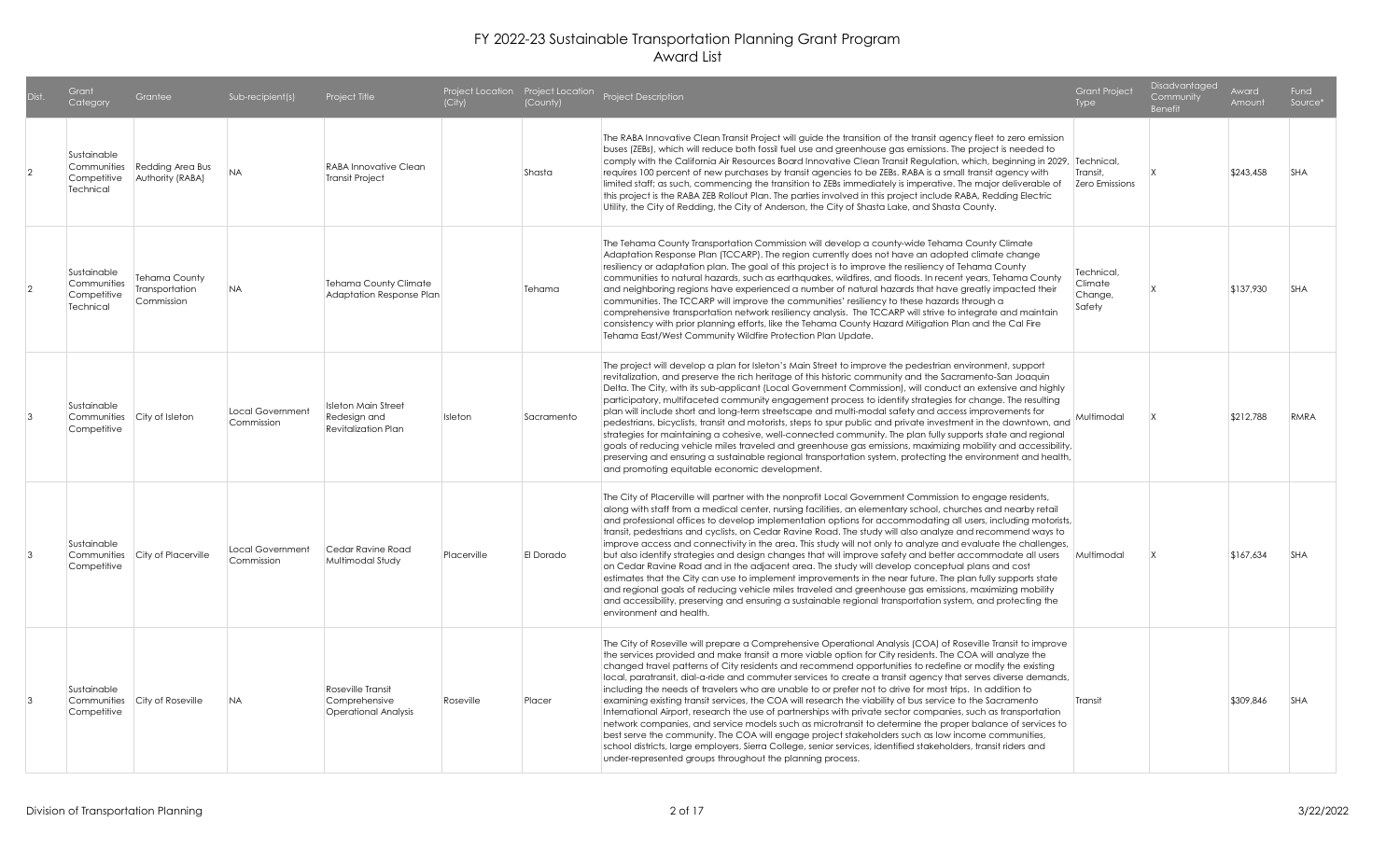|                | Grant<br>Category                                      | Grantee                                              | Sub-recipient(s)               | Project Title                                                            | (City)      | (County)   | Project Location Project Location Project Description                                                                                                                                                                                                                                                                                                                                                                                                                                                                                                                                                                                                                                                                                                                                                                                                                                                                                                                                                                                                                                                                                                                                               | <b>Grant Project</b><br>Type               | <b>Disadvantaged</b><br>Community<br><b>Benefit</b> | Award<br>Amount | Fund<br>Source* |
|----------------|--------------------------------------------------------|------------------------------------------------------|--------------------------------|--------------------------------------------------------------------------|-------------|------------|-----------------------------------------------------------------------------------------------------------------------------------------------------------------------------------------------------------------------------------------------------------------------------------------------------------------------------------------------------------------------------------------------------------------------------------------------------------------------------------------------------------------------------------------------------------------------------------------------------------------------------------------------------------------------------------------------------------------------------------------------------------------------------------------------------------------------------------------------------------------------------------------------------------------------------------------------------------------------------------------------------------------------------------------------------------------------------------------------------------------------------------------------------------------------------------------------------|--------------------------------------------|-----------------------------------------------------|-----------------|-----------------|
| $\overline{2}$ | Sustainable<br>Communities<br>Competitive<br>Technical | <b>Redding Area Bus</b><br>Authority (RABA)          | <b>NA</b>                      | <b>RABA Innovative Clean</b><br>Transit Project                          |             | Shasta     | The RABA Innovative Clean Transit Project will guide the transition of the transit agency fleet to zero emission<br>buses (ZEBs), which will reduce both fossil fuel use and greenhouse gas emissions. The project is needed to<br>comply with the California Air Resources Board Innovative Clean Transit Regulation, which, beginning in 2029, Technical,<br>requires 100 percent of new purchases by transit agencies to be ZEBs. RABA is a small transit agency with<br>limited staff; as such, commencing the transition to ZEBs immediately is imperative. The major deliverable of<br>this project is the RABA ZEB Rollout Plan. The parties involved in this project include RABA, Redding Electric<br>Utility, the City of Redding, the City of Anderson, the City of Shasta Lake, and Shasta County.                                                                                                                                                                                                                                                                                                                                                                                      | Transit,<br>Zero Emissions                 |                                                     | \$243,458       | <b>SHA</b>      |
| $\overline{2}$ | Sustainable<br>Communities<br>Competitive<br>Technical | <b>Tehama County</b><br>Transportation<br>Commission | <b>NA</b>                      | <b>Tehama County Climate</b><br>Adaptation Response Plan                 |             | Tehama     | The Tehama County Transportation Commission will develop a county-wide Tehama County Climate<br>Adaptation Response Plan (TCCARP). The region currently does not have an adopted climate change<br>resiliency or adaptation plan. The goal of this project is to improve the resiliency of Tehama County<br>communities to natural hazards, such as earthquakes, wildfires, and floods. In recent years, Tehama County<br>and neighboring regions have experienced a number of natural hazards that have greatly impacted their<br>communities. The TCCARP will improve the communities' resiliency to these hazards through a<br>comprehensive transportation network resiliency analysis. The TCCARP will strive to integrate and maintain<br>consistency with prior planning efforts, like the Tehama County Hazard Mitigation Plan and the Cal Fire<br>Tehama East/West Community Wildfire Protection Plan Update.                                                                                                                                                                                                                                                                              | Technical.<br>Climate<br>Change,<br>Safety |                                                     | \$137,930       | <b>SHA</b>      |
| $\overline{3}$ | Sustainable<br>Communities<br>Competitive              | City of Isleton                                      | Local Government<br>Commission | <b>Isleton Main Street</b><br>Redesign and<br><b>Revitalization Plan</b> | Isleton     | Sacramento | The project will develop a plan for Isleton's Main Street to improve the pedestrian environment, support<br>revitalization, and preserve the rich heritage of this historic community and the Sacramento-San Joaquin<br>Delta. The City, with its sub-applicant (Local Government Commission), will conduct an extensive and highly<br>participatory, multifaceted community engagement process to identify strategies for change. The resulting<br>plan will include short and long-term streetscape and multi-modal safety and access improvements for<br>pedestrians, bicyclists, transit and motorists, steps to spur public and private investment in the downtown, and<br>strategies for maintaining a cohesive, well-connected community. The plan fully supports state and regional<br>goals of reducing vehicle miles traveled and greenhouse gas emissions, maximizing mobility and accessibility,<br>preserving and ensuring a sustainable regional transportation system, protecting the environment and health,<br>and promoting equitable economic development.                                                                                                                       | Multimodal                                 |                                                     | \$212,788       | <b>RMRA</b>     |
| 3              | Sustainable<br>Communities<br>Competitive              | City of Placerville                                  | Local Government<br>Commission | Cedar Ravine Road<br>Multimodal Study                                    | Placerville | El Dorado  | The City of Placerville will partner with the nonprofit Local Government Commission to engage residents,<br>along with staff from a medical center, nursing facilities, an elementary school, churches and nearby retail<br>and professional offices to develop implementation options for accommodating all users, including motorists,<br>transit, pedestrians and cyclists, on Cedar Ravine Road. The study will also analyze and recommend ways to<br>improve access and connectivity in the area. This study will not only to analyze and evaluate the challenges,<br>but also identify strategies and design changes that will improve safety and better accommodate all users Multimodal<br>on Cedar Ravine Road and in the adjacent area. The study will develop conceptual plans and cost<br>estimates that the City can use to implement improvements in the near future. The plan fully supports state<br>and regional goals of reducing vehicle miles traveled and greenhouse gas emissions, maximizing mobility<br>and accessibility, preserving and ensuring a sustainable regional transportation system, and protecting the<br>environment and health.                              |                                            |                                                     | \$167,634       | <b>SHA</b>      |
| $\overline{3}$ | Sustainable<br>Communities<br>Competitive              | City of Roseville                                    | <b>NA</b>                      | Roseville Transit<br>Comprehensive<br><b>Operational Analysis</b>        | Roseville   | Placer     | The City of Roseville will prepare a Comprehensive Operational Analysis (COA) of Roseville Transit to improve<br>the services provided and make transit a more viable option for City residents. The COA will analyze the<br>changed travel patterns of City residents and recommend opportunities to redefine or modify the existing<br>local, paratransit, dial-a-ride and commuter services to create a transit agency that serves diverse demands,<br>including the needs of travelers who are unable to or prefer not to drive for most trips. In addition to<br>examining existing transit services, the COA will research the viability of bus service to the Sacramento<br>International Airport, research the use of partnerships with private sector companies, such as transportation<br>network companies, and service models such as microtransit to determine the proper balance of services to<br>best serve the community. The COA will engage project stakeholders such as low income communities,<br>school districts, large employers, Sierra College, senior services, identified stakeholders, transit riders and<br>under-represented groups throughout the planning process. | Transit                                    |                                                     | \$309,846       | <b>SHA</b>      |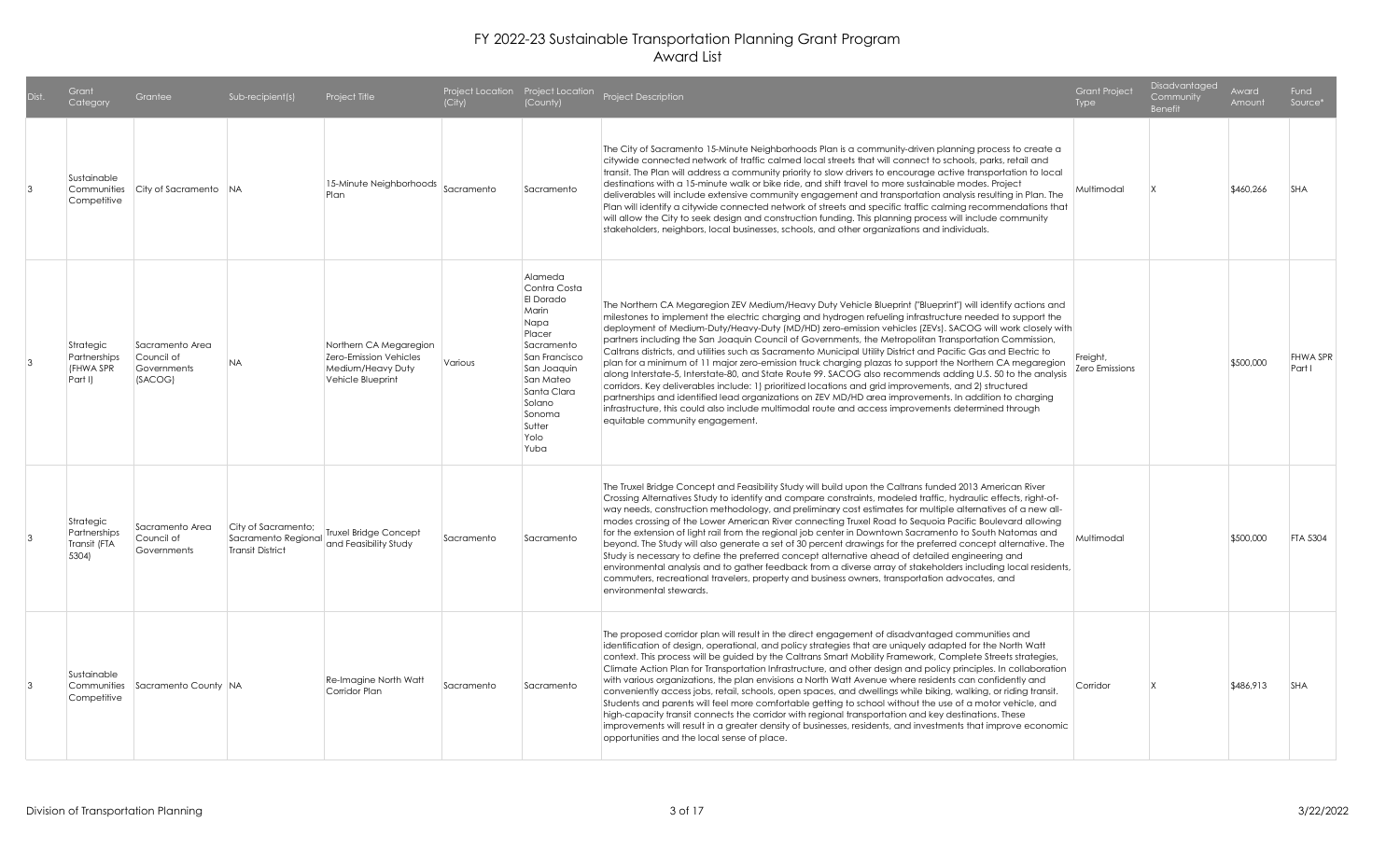| Dist. | Grant<br>Category                                  | Grantee                                                 | Sub-recipient(s)                                                      | Project Title                                                                              | (City)     | (County)                                                                                                                                                                                | Project Location Project Location Project Description                                                                                                                                                                                                                                                                                                                                                                                                                                                                                                                                                                                                                                                                                                                                                                                                                                                                                                                                                                                                                                                                                                     | <b>Grant Project</b><br>Type | Disadvantaged<br>Community<br><b>Benefit</b> | Award<br>Amount | <b>Fund</b><br>Source*    |
|-------|----------------------------------------------------|---------------------------------------------------------|-----------------------------------------------------------------------|--------------------------------------------------------------------------------------------|------------|-----------------------------------------------------------------------------------------------------------------------------------------------------------------------------------------|-----------------------------------------------------------------------------------------------------------------------------------------------------------------------------------------------------------------------------------------------------------------------------------------------------------------------------------------------------------------------------------------------------------------------------------------------------------------------------------------------------------------------------------------------------------------------------------------------------------------------------------------------------------------------------------------------------------------------------------------------------------------------------------------------------------------------------------------------------------------------------------------------------------------------------------------------------------------------------------------------------------------------------------------------------------------------------------------------------------------------------------------------------------|------------------------------|----------------------------------------------|-----------------|---------------------------|
| 3     | Sustainable<br>Communities<br>Competitive          | City of Sacramento NA                                   |                                                                       | 15-Minute Neighborhoods Sacramento<br>Plan                                                 |            | Sacramento                                                                                                                                                                              | The City of Sacramento 15-Minute Neighborhoods Plan is a community-driven planning process to create a<br>citywide connected network of traffic calmed local streets that will connect to schools, parks, retail and<br>transit. The Plan will address a community priority to slow drivers to encourage active transportation to local<br>destinations with a 15-minute walk or bike ride, and shift travel to more sustainable modes. Project<br>deliverables will include extensive community engagement and transportation analysis resulting in Plan. The<br>Plan will identify a citywide connected network of streets and specific traffic calming recommendations that<br>will allow the City to seek design and construction funding. This planning process will include community<br>stakeholders, neighbors, local businesses, schools, and other organizations and individuals.                                                                                                                                                                                                                                                               | Multimodal                   |                                              | \$460,266       | <b>SHA</b>                |
|       | Strategic<br>Partnerships<br>(FHWA SPR<br>Part I)  | Sacramento Area<br>Council of<br>Governments<br>(SACOG) | <b>NA</b>                                                             | Northern CA Megaregion<br>Zero-Emission Vehicles<br>Medium/Heavy Duty<br>Vehicle Blueprint | Various    | Alameda<br>Contra Costa<br>El Dorado<br>Marin<br>Napa<br>Placer<br>Sacramento<br>San Francisco<br>San Joaquin<br>San Mateo<br>Santa Clara<br>Solano<br>Sonoma<br>Sutter<br>Yolo<br>Yuba | The Northern CA Megaregion ZEV Medium/Heavy Duty Vehicle Blueprint ("Blueprint") will identify actions and<br>milestones to implement the electric charging and hydrogen refueling infrastructure needed to support the<br>deployment of Medium-Duty/Heavy-Duty (MD/HD) zero-emission vehicles (ZEVs). SACOG will work closely with<br>partners including the San Joaquin Council of Governments, the Metropolitan Transportation Commission,<br>Caltrans districts, and utilities such as Sacramento Municipal Utility District and Pacific Gas and Electric to<br>plan for a minimum of 11 major zero-emission truck charging plazas to support the Northern CA megaregion<br>along Interstate-5, Interstate-80, and State Route 99. SACOG also recommends adding U.S. 50 to the analysis<br>corridors. Key deliverables include: 1) prioritized locations and grid improvements, and 2) structured<br>partnerships and identified lead organizations on ZEV MD/HD area improvements. In addition to charging<br>infrastructure, this could also include multimodal route and access improvements determined through<br>equitable community engagement. | Freight,<br>Zero Emissions   |                                              | \$500,000       | <b>FHWA SPR</b><br>Part I |
|       | Strategic<br>Partnerships<br>Transit (FTA<br>5304) | Sacramento Area<br>Council of<br>Governments            | City of Sacramento;<br>Sacramento Regional<br><b>Transit District</b> | <b>Truxel Bridge Concept</b><br>and Feasibility Study                                      | Sacramento | Sacramento                                                                                                                                                                              | The Truxel Bridge Concept and Feasibility Study will build upon the Caltrans funded 2013 American River<br>Crossing Alternatives Study to identify and compare constraints, modeled traffic, hydraulic effects, right-of-<br>way needs, construction methodology, and preliminary cost estimates for multiple alternatives of a new all-<br>modes crossing of the Lower American River connecting Truxel Road to Sequoia Pacific Boulevard allowing<br>for the extension of light rail from the regional job center in Downtown Sacramento to South Natomas and<br>beyond. The Study will also generate a set of 30 percent drawings for the preferred concept alternative. The<br>Study is necessary to define the preferred concept alternative ahead of detailed engineering and<br>environmental analysis and to gather feedback from a diverse array of stakeholders including local residents,<br>commuters, recreational travelers, property and business owners, transportation advocates, and<br>environmental stewards.                                                                                                                         | Multimodal                   |                                              | \$500,000       | FTA 5304                  |
| 3     | Sustainable<br>Communities<br>Competitive          | Sacramento County   NA                                  |                                                                       | Re-Imagine North Watt<br>Corridor Plan                                                     | Sacramento | Sacramento                                                                                                                                                                              | The proposed corridor plan will result in the direct engagement of disadvantaged communities and<br>identification of design, operational, and policy strategies that are uniquely adapted for the North Watt<br>context. This process will be guided by the Caltrans Smart Mobility Framework, Complete Streets strategies,<br>Climate Action Plan for Transportation Infrastructure, and other design and policy principles. In collaboration<br>with various organizations, the plan envisions a North Watt Avenue where residents can confidently and<br>conveniently access jobs, retail, schools, open spaces, and dwellings while biking, walking, or riding transit.<br>Students and parents will feel more comfortable getting to school without the use of a motor vehicle, and<br>high-capacity transit connects the corridor with regional transportation and key destinations. These<br>improvements will result in a greater density of businesses, residents, and investments that improve economic<br>opportunities and the local sense of place.                                                                                         | Corridor                     |                                              | \$486,913       | <b>SHA</b>                |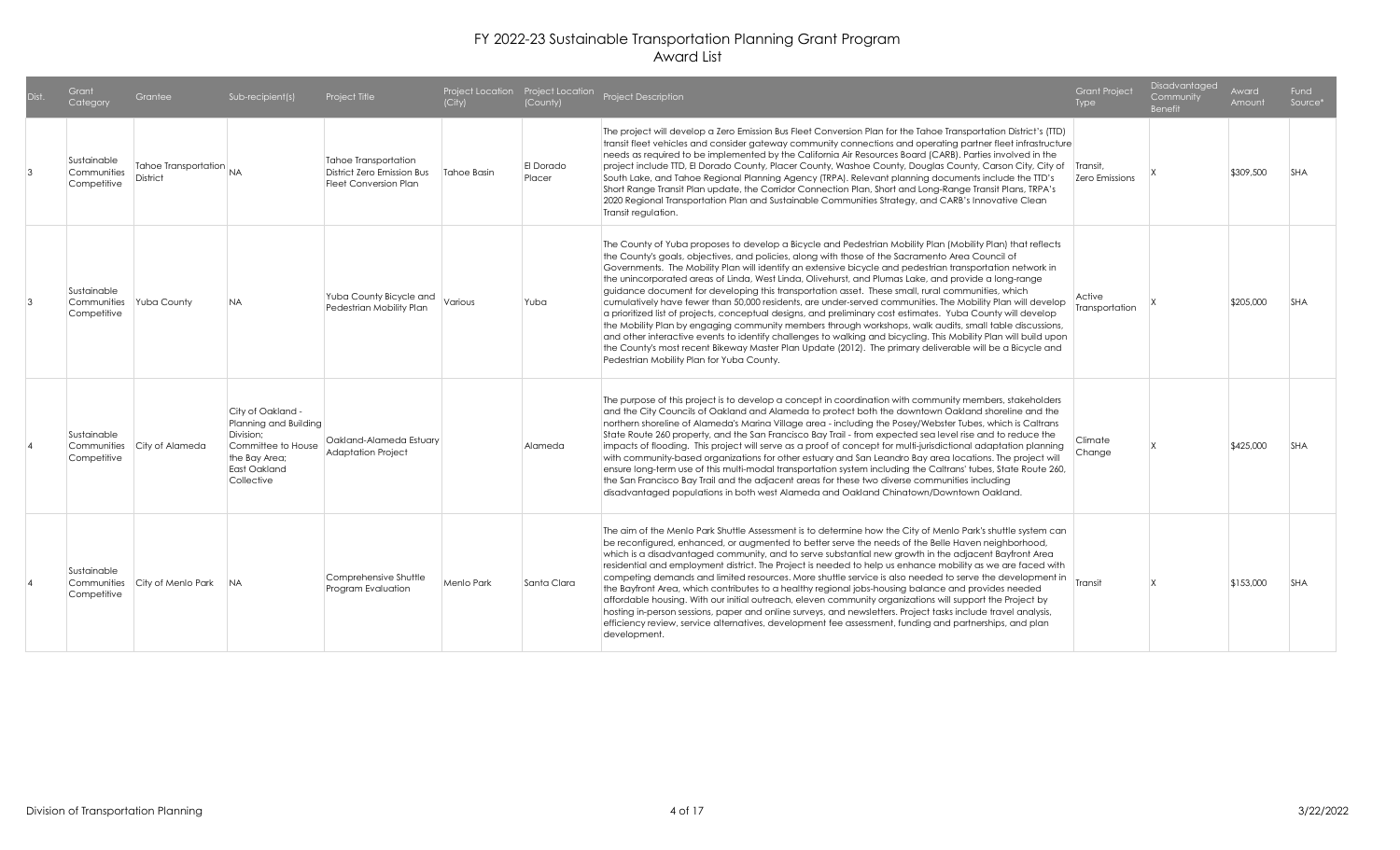| Dist. | Grant<br>Category                         | Grantee                                    | Sub-recipient(s)                                                                                                             | Project Title                                                                             | (City)      | (County)            | Project Location Project Location Project Description                                                                                                                                                                                                                                                                                                                                                                                                                                                                                                                                                                                                                                                                                                                                                                                                                                                                                                                                                                                                                                                                                                                 | <b>Grant Project</b><br>Type | <b>Disadvantaged</b><br>Community<br><b>Benefit</b> | Award<br>Amount | Fund<br>Source* |
|-------|-------------------------------------------|--------------------------------------------|------------------------------------------------------------------------------------------------------------------------------|-------------------------------------------------------------------------------------------|-------------|---------------------|-----------------------------------------------------------------------------------------------------------------------------------------------------------------------------------------------------------------------------------------------------------------------------------------------------------------------------------------------------------------------------------------------------------------------------------------------------------------------------------------------------------------------------------------------------------------------------------------------------------------------------------------------------------------------------------------------------------------------------------------------------------------------------------------------------------------------------------------------------------------------------------------------------------------------------------------------------------------------------------------------------------------------------------------------------------------------------------------------------------------------------------------------------------------------|------------------------------|-----------------------------------------------------|-----------------|-----------------|
|       | Sustainable<br>Communities<br>Competitive | Tahoe Transportation NA<br><b>District</b> |                                                                                                                              | <b>Tahoe Transportation</b><br>District Zero Emission Bus<br><b>Fleet Conversion Plan</b> | Tahoe Basin | El Dorado<br>Placer | The project will develop a Zero Emission Bus Fleet Conversion Plan for the Tahoe Transportation District's (TTD)<br>transit fleet vehicles and consider gateway community connections and operating partner fleet infrastructure<br>needs as required to be implemented by the California Air Resources Board (CARB). Parties involved in the<br>project include TTD, El Dorado County, Placer County, Washoe County, Douglas County, Carson City, City of<br>South Lake, and Tahoe Regional Planning Agency (TRPA). Relevant planning documents include the TTD's<br>Short Range Transit Plan update, the Corridor Connection Plan, Short and Long-Range Transit Plans, TRPA's<br>2020 Regional Transportation Plan and Sustainable Communities Strategy, and CARB's Innovative Clean<br>Transit regulation.                                                                                                                                                                                                                                                                                                                                                         | Transit.<br>Zero Emissions   |                                                     | \$309,500       | <b>SHA</b>      |
|       | Sustainable<br>Communities<br>Competitive | Yuba County                                | <b>NA</b>                                                                                                                    | Yuba County Bicycle and<br>Pedestrian Mobility Plan                                       | Various     | Yuba                | The County of Yuba proposes to develop a Bicycle and Pedestrian Mobility Plan (Mobility Plan) that reflects<br>the County's goals, objectives, and policies, along with those of the Sacramento Area Council of<br>Governments. The Mobility Plan will identify an extensive bicycle and pedestrian transportation network in<br>the unincorporated areas of Linda, West Linda, Olivehurst, and Plumas Lake, and provide a long-range  <br>guidance document for developing this transportation asset. These small, rural communities, which<br>cumulatively have fewer than 50,000 residents, are under-served communities. The Mobility Plan will develop<br>a prioritized list of projects, conceptual designs, and preliminary cost estimates. Yuba County will develop<br>the Mobility Plan by engaging community members through workshops, walk audits, small table discussions,<br>and other interactive events to identify challenges to walking and bicycling. This Mobility Plan will build upon<br>the County's most recent Bikeway Master Plan Update (2012). The primary deliverable will be a Bicycle and<br>Pedestrian Mobility Plan for Yuba County. | Active<br>Transportation     |                                                     | \$205,000       | <b>SHA</b>      |
|       | Sustainable<br>Communities<br>Competitive | City of Alameda                            | City of Oakland -<br>Planning and Building<br>Division:<br>Committee to House<br>the Bay Area;<br>East Oakland<br>Collective | Oakland-Alameda Estuary<br><b>Adaptation Project</b>                                      |             | Alameda             | The purpose of this project is to develop a concept in coordination with community members, stakeholders<br>and the City Councils of Oakland and Alameda to protect both the downtown Oakland shoreline and the<br>northern shoreline of Alameda's Marina Village area - including the Posey/Webster Tubes, which is Caltrans<br>State Route 260 property, and the San Francisco Bay Trail - from expected sea level rise and to reduce the<br>impacts of flooding. This project will serve as a proof of concept for multi-jurisdictional adaptation planning<br>with community-based organizations for other estuary and San Leandro Bay area locations. The project will<br>ensure long-term use of this multi-modal transportation system including the Caltrans' tubes, State Route 260,<br>the San Francisco Bay Trail and the adjacent areas for these two diverse communities including<br>disadvantaged populations in both west Alameda and Oakland Chinatown/Downtown Oakland.                                                                                                                                                                             | Climate<br>Change            |                                                     | \$425,000       | <b>SHA</b>      |
|       | Sustainable<br>Communities<br>Competitive | City of Menlo Park NA                      |                                                                                                                              | Comprehensive Shuttle<br>Program Evaluation                                               | Menlo Park  | Santa Clara         | The aim of the Menlo Park Shuttle Assessment is to determine how the City of Menlo Park's shuttle system can<br>be reconfigured, enhanced, or augmented to better serve the needs of the Belle Haven neighborhood,<br>which is a disadvantaged community, and to serve substantial new growth in the adjacent Bayfront Area<br>residential and employment district. The Project is needed to help us enhance mobility as we are faced with<br>competing demands and limited resources. More shuttle service is also needed to serve the development in<br>the Bayfront Area, which contributes to a healthy regional jobs-housing balance and provides needed<br>affordable housing. With our initial outreach, eleven community organizations will support the Project by<br>hosting in-person sessions, paper and online surveys, and newsletters. Project tasks include travel analysis,<br>efficiency review, service alternatives, development fee assessment, funding and partnerships, and plan<br>development.                                                                                                                                                | Transit                      |                                                     | \$153,000       | <b>SHA</b>      |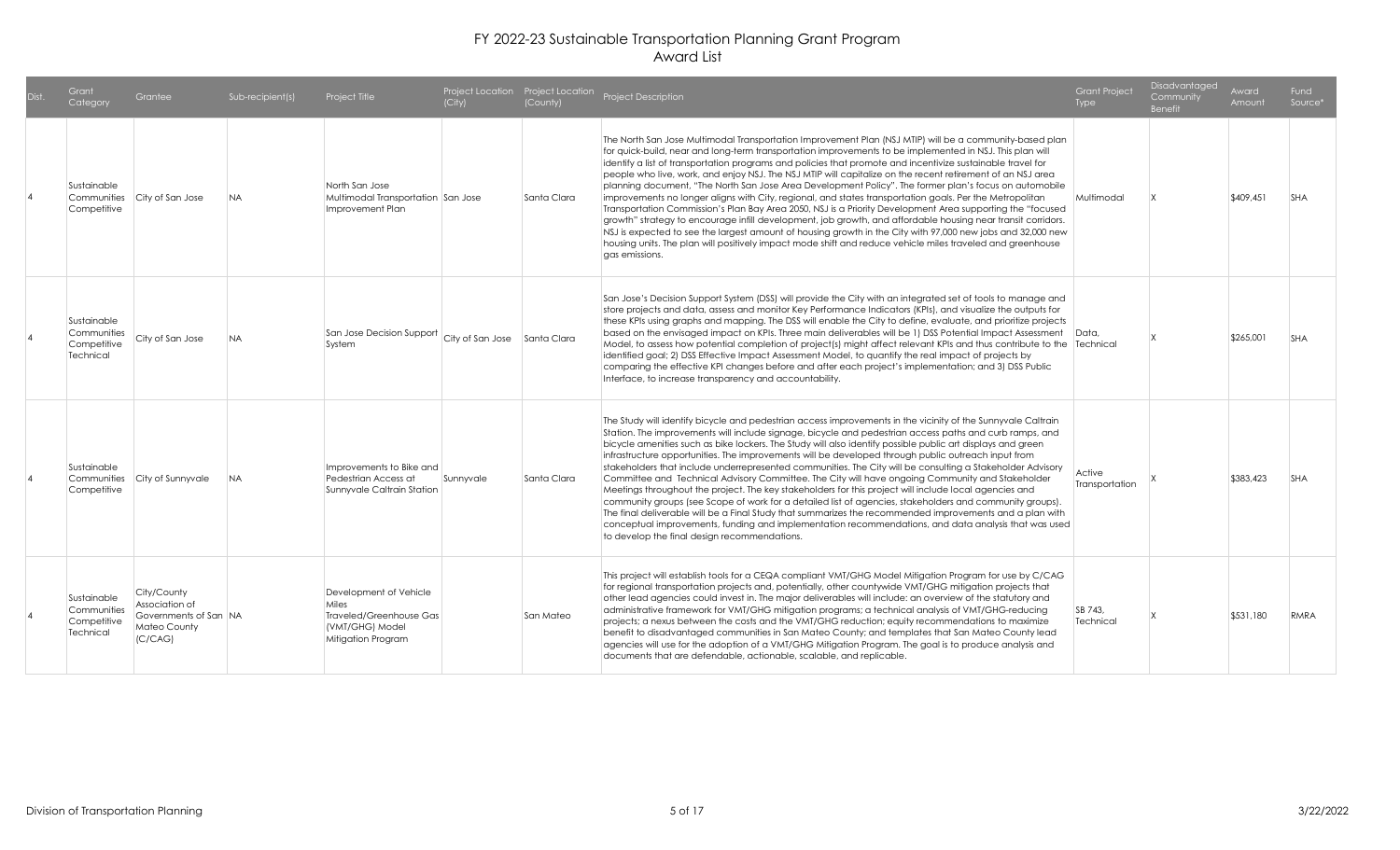| Dist. | Grant<br>Category                                      | Grantee                                                                           | Sub-recipient(s) | Project Title                                                                                       | (City)    | (County)    | Project Location Project Location Project Description                                                                                                                                                                                                                                                                                                                                                                                                                                                                                                                                                                                                                                                                                                                                                                                                                                                                                                                                                                                                                                                                                                     | <b>Grant Project</b><br>Type | Disadvantaged<br>Community<br><b>Benefit</b> | Award<br>Amount | Fund<br>Source* |
|-------|--------------------------------------------------------|-----------------------------------------------------------------------------------|------------------|-----------------------------------------------------------------------------------------------------|-----------|-------------|-----------------------------------------------------------------------------------------------------------------------------------------------------------------------------------------------------------------------------------------------------------------------------------------------------------------------------------------------------------------------------------------------------------------------------------------------------------------------------------------------------------------------------------------------------------------------------------------------------------------------------------------------------------------------------------------------------------------------------------------------------------------------------------------------------------------------------------------------------------------------------------------------------------------------------------------------------------------------------------------------------------------------------------------------------------------------------------------------------------------------------------------------------------|------------------------------|----------------------------------------------|-----------------|-----------------|
|       | Sustainable<br>Competitive                             | Communities City of San Jose                                                      | <b>NA</b>        | North San Jose<br>Multimodal Transportation San Jose<br>Improvement Plan                            |           | Santa Clara | The North San Jose Multimodal Transportation Improvement Plan (NSJ MTIP) will be a community-based plan<br>for quick-build, near and long-term transportation improvements to be implemented in NSJ. This plan will<br>identify a list of transportation programs and policies that promote and incentivize sustainable travel for<br>people who live, work, and enjoy NSJ. The NSJ MTIP will capitalize on the recent retirement of an NSJ area<br>planning document, "The North San Jose Area Development Policy". The former plan's focus on automobile<br>improvements no longer aligns with City, regional, and states transportation goals. Per the Metropolitan<br>Transportation Commission's Plan Bay Area 2050, NSJ is a Priority Development Area supporting the "focused<br>growth" strategy to encourage infill development, job growth, and affordable housing near transit corridors.<br>NSJ is expected to see the largest amount of housing growth in the City with 97,000 new jobs and 32,000 new<br>housing units. The plan will positively impact mode shift and reduce vehicle miles traveled and greenhouse<br>gas emissions.       | Multimodal                   |                                              | \$409,451       | <b>SHA</b>      |
|       | Sustainable<br>Communities<br>Competitive<br>Technical | City of San Jose                                                                  | <b>NA</b>        | $\vert$ San Jose Decision Support $\vert$ City of San Jose $\vert$ Santa Clara<br>System            |           |             | San Jose's Decision Support System (DSS) will provide the City with an integrated set of tools to manage and<br>store projects and data, assess and monitor Key Performance Indicators (KPIs), and visualize the outputs for<br>these KPIs using graphs and mapping. The DSS will enable the City to define, evaluate, and prioritize projects<br>based on the envisaged impact on KPIs. Three main deliverables will be 1) DSS Potential Impact Assessment   Data,<br>Model, to assess how potential completion of project(s) might affect relevant KPIs and thus contribute to the Technical<br>identified goal; 2) DSS Effective Impact Assessment Model, to quantify the real impact of projects by<br>comparing the effective KPI changes before and after each project's implementation; and 3) DSS Public<br>Interface, to increase transparency and accountability.                                                                                                                                                                                                                                                                               |                              |                                              | \$265,001       | <b>SHA</b>      |
|       | Sustainable<br>Communities<br>Competitive              | City of Sunnyvale                                                                 | <b>NA</b>        | Improvements to Bike and<br>Pedestrian Access at<br>Sunnyvale Caltrain Station                      | Sunnyvale | Santa Clara | The Study will identify bicycle and pedestrian access improvements in the vicinity of the Sunnyvale Caltrain<br>Station. The improvements will include signage, bicycle and pedestrian access paths and curb ramps, and<br>bicycle amenities such as bike lockers. The Study will also identify possible public art displays and green<br>infrastructure opportunities. The improvements will be developed through public outreach input from<br>stakeholders that include underrepresented communities. The City will be consulting a Stakeholder Advisory<br>Committee and Technical Advisory Committee. The City will have ongoing Community and Stakeholder<br>Meetings throughout the project. The key stakeholders for this project will include local agencies and<br>community groups (see Scope of work for a detailed list of agencies, stakeholders and community groups).<br>The final deliverable will be a Final Study that summarizes the recommended improvements and a plan with<br>conceptual improvements, funding and implementation recommendations, and data analysis that was used<br>to develop the final design recommendations. | Active<br>Transportation     |                                              | \$383,423       | <b>SHA</b>      |
|       | Sustainable<br>Communities<br>Competitive<br>Technical | City/County<br>Association of<br>Governments of San NA<br>Mateo County<br>(C/CAG) |                  | Development of Vehicle<br>Miles<br>Traveled/Greenhouse Gas<br>(VMT/GHG) Model<br>Mitigation Program |           | San Mateo   | This project will establish tools for a CEQA compliant VMT/GHG Model Mitigation Program for use by C/CAG<br>for regional transportation projects and, potentially, other countywide VMT/GHG mitigation projects that<br>other lead agencies could invest in. The major deliverables will include: an overview of the statutory and<br>administrative framework for VMT/GHG mitigation programs; a technical analysis of VMT/GHG-reducing<br>projects; a nexus between the costs and the VMT/GHG reduction; equity recommendations to maximize<br>benefit to disadvantaged communities in San Mateo County; and templates that San Mateo County lead<br>agencies will use for the adoption of a VMT/GHG Mitigation Program. The goal is to produce analysis and<br>documents that are defendable, actionable, scalable, and replicable.                                                                                                                                                                                                                                                                                                                    | SB 743.<br>Technical         |                                              | \$531,180       | RMRA            |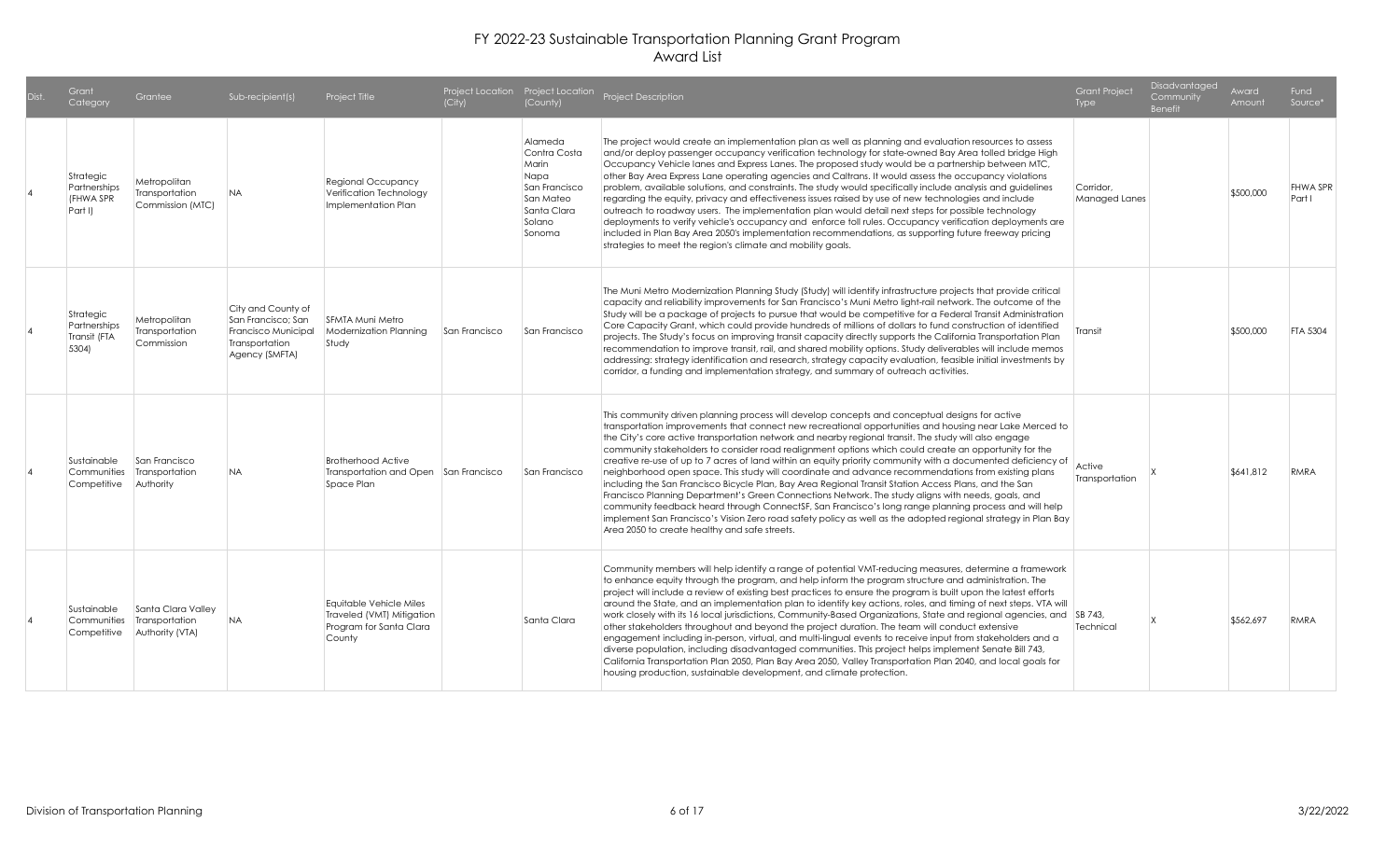| Grant<br>Category                                  | Grantee                                                 | Sub-recipient(s)                                                                                    | Project Title                                                                             | (City)        | (County)                                                                                                  | Project Location Project Location Project Description                                                                                                                                                                                                                                                                                                                                                                                                                                                                                                                                                                                                                                                                                                                                                                                                                                                                                                                                                                                                                                                                                        | <b>Grant Project</b><br>Type | Disadvantaged<br>Community<br>Benefit | Award<br>Amount | Fund<br>Source*           |
|----------------------------------------------------|---------------------------------------------------------|-----------------------------------------------------------------------------------------------------|-------------------------------------------------------------------------------------------|---------------|-----------------------------------------------------------------------------------------------------------|----------------------------------------------------------------------------------------------------------------------------------------------------------------------------------------------------------------------------------------------------------------------------------------------------------------------------------------------------------------------------------------------------------------------------------------------------------------------------------------------------------------------------------------------------------------------------------------------------------------------------------------------------------------------------------------------------------------------------------------------------------------------------------------------------------------------------------------------------------------------------------------------------------------------------------------------------------------------------------------------------------------------------------------------------------------------------------------------------------------------------------------------|------------------------------|---------------------------------------|-----------------|---------------------------|
| Strategic<br>Partnerships<br>(FHWA SPR<br>Part II  | Metropolitan<br>Transportation<br>Commission (MTC)      | <b>NA</b>                                                                                           | Regional Occupancy<br>Verification Technology<br>Implementation Plan                      |               | Alameda<br>Contra Costa<br>Marin<br>Napa<br>San Francisco<br>San Mateo<br>Santa Clara<br>Solano<br>Sonoma | The project would create an implementation plan as well as planning and evaluation resources to assess<br>and/or deploy passenger occupancy verification technology for state-owned Bay Area tolled bridge High<br>Occupancy Vehicle lanes and Express Lanes. The proposed study would be a partnership between MTC,<br>other Bay Area Express Lane operating agencies and Caltrans. It would assess the occupancy violations<br>problem, available solutions, and constraints. The study would specifically include analysis and guidelines<br>regarding the equity, privacy and effectiveness issues raised by use of new technologies and include<br>outreach to roadway users. The implementation plan would detail next steps for possible technology<br>deployments to verify vehicle's occupancy and enforce toll rules. Occupancy verification deployments are<br>included in Plan Bay Area 2050's implementation recommendations, as supporting future freeway pricing<br>strategies to meet the region's climate and mobility goals.                                                                                               | Corridor.<br>Managed Lanes   |                                       | \$500,000       | <b>FHWA SPR</b><br>Part I |
| Strategic<br>Partnerships<br>Transit (FTA<br>5304) | Metropolitan<br>Transportation<br>Commission            | City and County of<br>San Francisco; San<br>Francisco Municipal<br>Transportation<br>Agency (SMFTA) | SFMTA Muni Metro<br><b>Modernization Planning</b><br>Study                                | San Francisco | San Francisco                                                                                             | The Muni Metro Modernization Planning Study (Study) will identify infrastructure projects that provide critical<br>capacity and reliability improvements for San Francisco's Muni Metro light-rail network. The outcome of the<br>Study will be a package of projects to pursue that would be competitive for a Federal Transit Administration<br>Core Capacity Grant, which could provide hundreds of millions of dollars to fund construction of identified<br>projects. The Study's focus on improving transit capacity directly supports the California Transportation Plan<br>recommendation to improve transit, rail, and shared mobility options. Study deliverables will include memos<br>addressing: strategy identification and research, strategy capacity evaluation, feasible initial investments by<br>corridor, a funding and implementation strategy, and summary of outreach activities.                                                                                                                                                                                                                                    | Transit                      |                                       | \$500,000       | <b>FTA 5304</b>           |
| Sustainable<br>Communities<br>Competitive          | San Francisco<br>Transportation<br>Authority            | <b>NA</b>                                                                                           | <b>Brotherhood Active</b><br>Transportation and Open San Francisco<br>Space Plan          |               | San Francisco                                                                                             | This community driven planning process will develop concepts and conceptual designs for active<br>transportation improvements that connect new recreational opportunities and housing near Lake Merced to<br>the City's core active transportation network and nearby regional transit. The study will also engage<br>community stakeholders to consider road realignment options which could create an opportunity for the<br>creative re-use of up to 7 acres of land within an equity priority community with a documented deficiency of<br>neighborhood open space. This study will coordinate and advance recommendations from existing plans<br>including the San Francisco Bicycle Plan, Bay Area Regional Transit Station Access Plans, and the San<br>Francisco Planning Department's Green Connections Network. The study aligns with needs, goals, and<br>community feedback heard through ConnectSF, San Francisco's long range planning process and will help<br>implement San Francisco's Vision Zero road safety policy as well as the adopted regional strategy in Plan Bay<br>Area 2050 to create healthy and safe streets. | Active<br>Transportation     |                                       | \$641,812       | RMRA                      |
| Sustainable<br>Communities<br>Competitive          | Santa Clara Valley<br>Transportation<br>Authority (VTA) | NA.                                                                                                 | Eauitable Vehicle Miles<br>Traveled (VMT) Mitigation<br>Program for Santa Clara<br>County |               | Santa Clara                                                                                               | Community members will help identify a range of potential VMT-reducing measures, determine a framework<br>to enhance equity through the program, and help inform the program structure and administration. The<br>project will include a review of existing best practices to ensure the program is built upon the latest efforts<br>around the State, and an implementation plan to identify key actions, roles, and timing of next steps. VTA will<br>work closely with its 16 local jurisdictions, Community-Based Organizations, State and regional agencies, and SB 743,<br>other stakeholders throughout and beyond the project duration. The team will conduct extensive<br>engagement including in-person, virtual, and multi-lingual events to receive input from stakeholders and a<br>diverse population, including disadvantaged communities. This project helps implement Senate Bill 743,<br>California Transportation Plan 2050, Plan Bay Area 2050, Valley Transportation Plan 2040, and local goals for<br>housing production, sustainable development, and climate protection.                                             | Technical                    |                                       | \$562,697       | RMRA                      |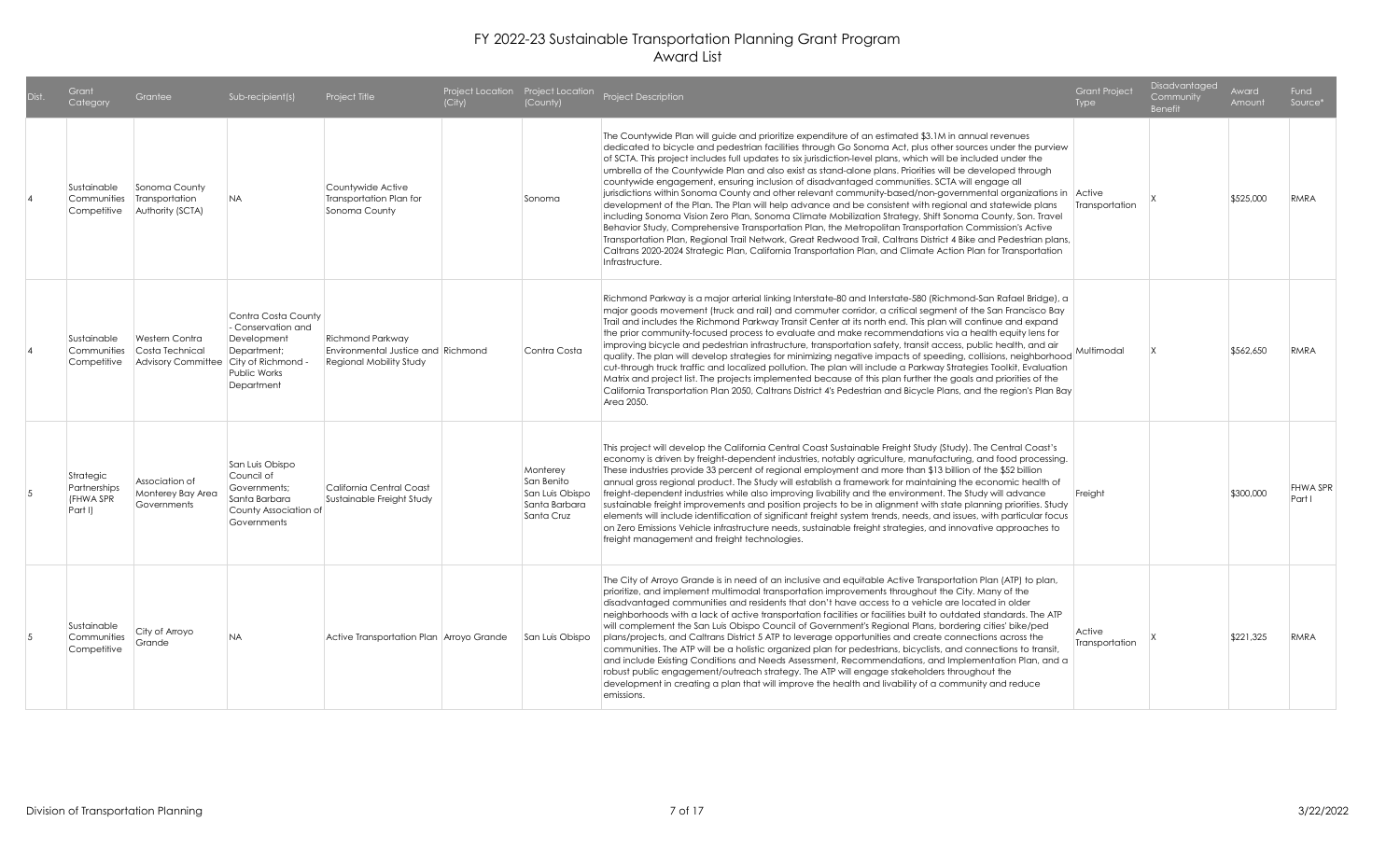| Dist. | Grant<br>Category                                 | Grantee                                                                           | Sub-recipient(s)                                                                                       | Project Title                                                                            | (City) | (County)                                                                 | Project Location Project Location Project Description                                                                                                                                                                                                                                                                                                                                                                                                                                                                                                                                                                                                                                                                                                                                                                                                                                                                                                                                                                                                                                                                                                                                                                                                       | <b>Grant Project</b><br>Type | Disadvantaged<br>Community<br><b>Benefit</b> | Award<br>Amount | Fund<br>Source*    |
|-------|---------------------------------------------------|-----------------------------------------------------------------------------------|--------------------------------------------------------------------------------------------------------|------------------------------------------------------------------------------------------|--------|--------------------------------------------------------------------------|-------------------------------------------------------------------------------------------------------------------------------------------------------------------------------------------------------------------------------------------------------------------------------------------------------------------------------------------------------------------------------------------------------------------------------------------------------------------------------------------------------------------------------------------------------------------------------------------------------------------------------------------------------------------------------------------------------------------------------------------------------------------------------------------------------------------------------------------------------------------------------------------------------------------------------------------------------------------------------------------------------------------------------------------------------------------------------------------------------------------------------------------------------------------------------------------------------------------------------------------------------------|------------------------------|----------------------------------------------|-----------------|--------------------|
|       | Sustainable<br>Communities<br>Competitive         | Sonoma County<br>Transportation<br>Authority (SCTA)                               | <b>NA</b>                                                                                              | Countywide Active<br>Transportation Plan for<br>Sonoma County                            |        | Sonoma                                                                   | The Countywide Plan will guide and prioritize expenditure of an estimated \$3.1M in annual revenues<br>dedicated to bicycle and pedestrian facilities through Go Sonoma Act, plus other sources under the purview<br>of SCTA. This project includes full updates to six jurisdiction-level plans, which will be included under the<br>umbrella of the Countywide Plan and also exist as stand-alone plans. Priorities will be developed through<br>countywide engagement, ensuring inclusion of disadvantaged communities. SCTA will engage all<br>jurisdictions within Sonoma County and other relevant community-based/non-governmental organizations in Active<br>development of the Plan. The Plan will help advance and be consistent with regional and statewide plans<br>including Sonoma Vision Zero Plan, Sonoma Climate Mobilization Strategy, Shift Sonoma County, Son. Travel<br>Behavior Study, Comprehensive Transportation Plan, the Metropolitan Transportation Commission's Active<br>Transportation Plan, Regional Trail Network, Great Redwood Trail, Caltrans District 4 Bike and Pedestrian plans,<br>Caltrans 2020-2024 Strategic Plan, California Transportation Plan, and Climate Action Plan for Transportation<br>Infrastructure. | Transportation               |                                              | \$525,000       | <b>RMRA</b>        |
|       | Sustainable<br>Communities<br>Competitive         | <b>Western Contra</b><br>Costa Technical<br>Advisory Committee City of Richmond - | Contra Costa County<br>- Conservation and<br>Development<br>Department;<br>Public Works<br>Department  | Richmond Parkway<br>Environmental Justice and Richmond<br><b>Regional Mobility Study</b> |        | Contra Costa                                                             | Richmond Parkway is a major arterial linking Interstate-80 and Interstate-580 (Richmond-San Rafael Bridge), a<br>major goods movement (truck and rail) and commuter corridor, a critical segment of the San Francisco Bay<br>Trail and includes the Richmond Parkway Transit Center at its north end. This plan will continue and expand<br>the prior community-focused process to evaluate and make recommendations via a health equity lens for<br>improving bicycle and pedestrian infrastructure, transportation safety, transit access, public health, and air<br>quality. The plan will develop strategies for minimizing negative impacts of speeding, collisions, neighborhood<br>cut-through truck traffic and localized pollution. The plan will include a Parkway Strategies Toolkit, Evaluation<br>Matrix and project list. The projects implemented because of this plan further the goals and priorities of the<br>California Transportation Plan 2050, Caltrans District 4's Pedestrian and Bicycle Plans, and the region's Plan Bay<br>Area 2050.                                                                                                                                                                                           | Multimodal                   |                                              | \$562,650       | <b>RMRA</b>        |
| .5    | Strategic<br>Partnerships<br>(FHWA SPR<br>Part I) | Association of<br>Monterey Bay Area<br>Governments                                | San Luis Obispo<br>Council of<br>Governments:<br>Santa Barbara<br>County Association of<br>Governments | California Central Coast<br>Sustainable Freight Study                                    |        | Monterey<br>San Benito<br>San Luis Obispo<br>Santa Barbara<br>Santa Cruz | This project will develop the California Central Coast Sustainable Freight Study (Study). The Central Coast's<br>economy is driven by freight-dependent industries, notably agriculture, manufacturing, and food processing.<br>These industries provide 33 percent of regional employment and more than \$13 billion of the \$52 billion<br>annual gross regional product. The Study will establish a framework for maintaining the economic health of<br>freight-dependent industries while also improving livability and the environment. The Study will advance<br>sustainable freight improvements and position projects to be in alignment with state planning priorities. Study<br>elements will include identification of significant freight system trends, needs, and issues, with particular focus<br>on Zero Emissions Vehicle infrastructure needs, sustainable freight strategies, and innovative approaches to<br>freight management and freight technologies.                                                                                                                                                                                                                                                                               | Freight                      |                                              | \$300,000       | FHWA SPR<br>Part I |
| .5    | Sustainable<br>Communities<br>Competitive         | City of Arroyo<br>Grande                                                          | <b>NA</b>                                                                                              | Active Transportation Plan Arroyo Grande                                                 |        | San Luis Obispo                                                          | The City of Arroyo Grande is in need of an inclusive and equitable Active Transportation Plan (ATP) to plan,<br>prioritize, and implement multimodal transportation improvements throughout the City. Many of the<br>disadvantaged communities and residents that don't have access to a vehicle are located in older<br>neighborhoods with a lack of active transportation facilities or facilities built to outdated standards. The ATP<br>will complement the San Luis Obispo Council of Government's Regional Plans, bordering cities' bike/ped<br>plans/projects, and Caltrans District 5 ATP to leverage opportunities and create connections across the<br>communities. The ATP will be a holistic organized plan for pedestrians, bicyclists, and connections to transit,<br>and include Existing Conditions and Needs Assessment, Recommendations, and Implementation Plan, and a<br>robust public engagement/outreach strategy. The ATP will engage stakeholders throughout the<br>development in creating a plan that will improve the health and livability of a community and reduce<br>emissions.                                                                                                                                             | Active<br>Transportation     |                                              | \$221,325       | <b>RMRA</b>        |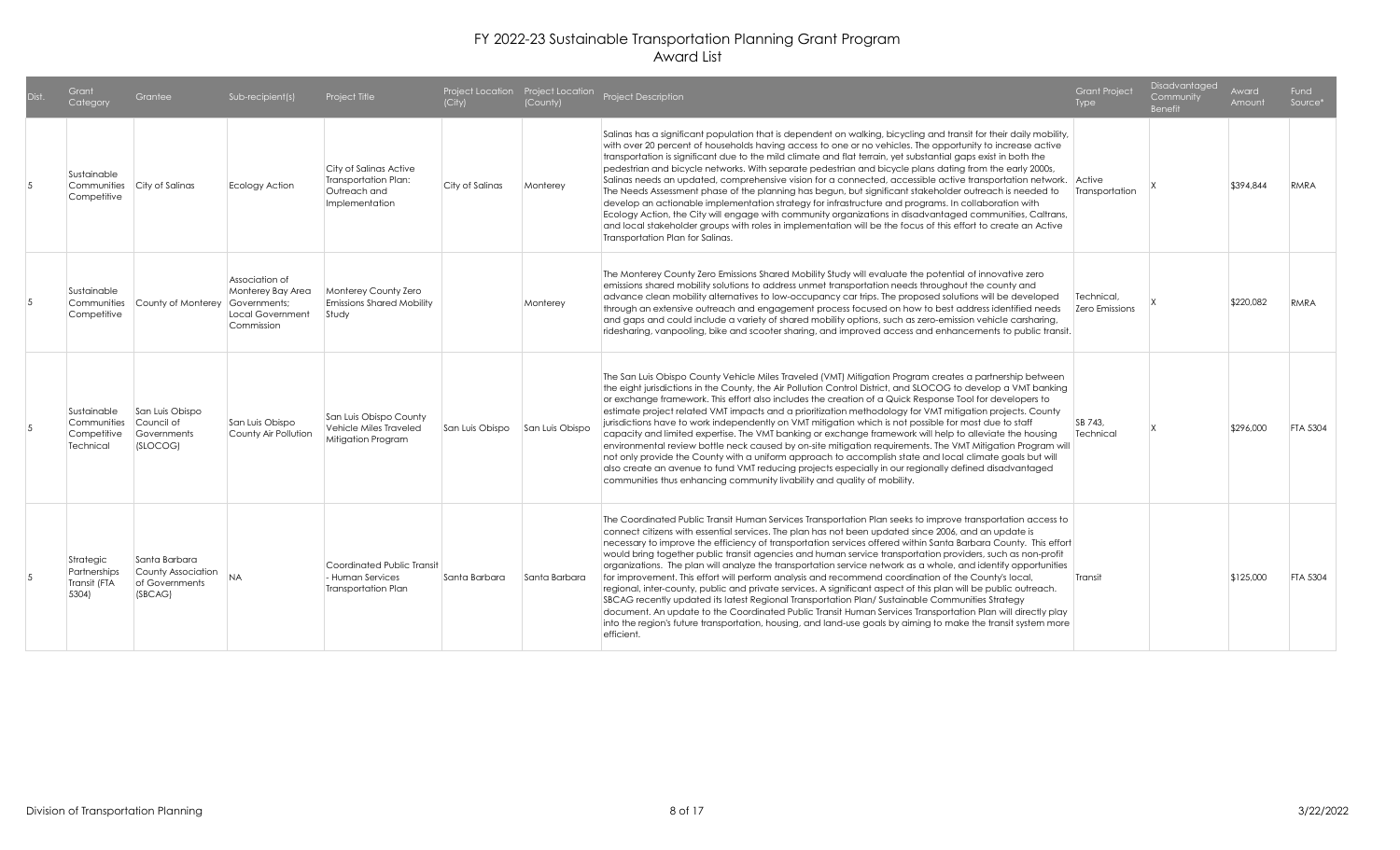| Dist. | Grant<br>Category                                      | Grantee                                                          | Sub-recipient(s)                                                                      | Project Title                                                                     | (City)          | (County)        | Project Location Project Location Project Description                                                                                                                                                                                                                                                                                                                                                                                                                                                                                                                                                                                                                                                                                                                                                                                                                                                                                                                                                                                                                                                                                                | <b>Grant Project</b><br><b>Type</b> | Disadvantaged<br>Community<br><b>Benefit</b> | Award<br>Amount | <b>Fund</b><br>Source <sup>*</sup> |
|-------|--------------------------------------------------------|------------------------------------------------------------------|---------------------------------------------------------------------------------------|-----------------------------------------------------------------------------------|-----------------|-----------------|------------------------------------------------------------------------------------------------------------------------------------------------------------------------------------------------------------------------------------------------------------------------------------------------------------------------------------------------------------------------------------------------------------------------------------------------------------------------------------------------------------------------------------------------------------------------------------------------------------------------------------------------------------------------------------------------------------------------------------------------------------------------------------------------------------------------------------------------------------------------------------------------------------------------------------------------------------------------------------------------------------------------------------------------------------------------------------------------------------------------------------------------------|-------------------------------------|----------------------------------------------|-----------------|------------------------------------|
|       | Sustainable<br>Communities<br>Competitive              | City of Salinas                                                  | Ecology Action                                                                        | City of Salinas Active<br>Transportation Plan:<br>Outreach and<br>Implementation  | City of Salinas | Monterey        | Salinas has a significant population that is dependent on walking, bicycling and transit for their daily mobility,<br>with over 20 percent of households having access to one or no vehicles. The opportunity to increase active<br>transportation is significant due to the mild climate and flat terrain, yet substantial gaps exist in both the<br>pedestrian and bicycle networks. With separate pedestrian and bicycle plans dating from the early 2000s,<br>Salinas needs an updated, comprehensive vision for a connected, accessible active transportation network. Active<br>The Needs Assessment phase of the planning has begun, but significant stakeholder outreach is needed to<br>develop an actionable implementation strategy for infrastructure and programs. In collaboration with<br>Ecology Action, the City will engage with community organizations in disadvantaged communities, Caltrans,<br>and local stakeholder groups with roles in implementation will be the focus of this effort to create an Active<br>Transportation Plan for Salinas.                                                                             | Transportation                      |                                              | \$394,844       | RMRA                               |
|       | Sustainable<br>Competitive                             | Communities County of Monterey                                   | Association of<br>Monterey Bay Area<br>Governments:<br>Local Government<br>Commission | Monterey County Zero<br><b>Emissions Shared Mobility</b><br>Study                 |                 | Monterey        | The Monterey County Zero Emissions Shared Mobility Study will evaluate the potential of innovative zero<br>emissions shared mobility solutions to address unmet transportation needs throughout the county and<br>advance clean mobility alternatives to low-occupancy car trips. The proposed solutions will be developed<br>through an extensive outreach and engagement process focused on how to best address identified needs<br>and gaps and could include a variety of shared mobility options, such as zero-emission vehicle carsharing,<br>ridesharing, vanpooling, bike and scooter sharing, and improved access and enhancements to public transit.                                                                                                                                                                                                                                                                                                                                                                                                                                                                                       | Technical.<br>Zero Emissions        |                                              | \$220.082       | RMRA                               |
|       | Sustainable<br>Communities<br>Competitive<br>Technical | San Luis Obispo<br>Council of<br>Governments<br>(SLOCOG)         | San Luis Obispo<br>County Air Pollution                                               | San Luis Obispo County<br>Vehicle Miles Traveled<br>Mitigation Program            | San Luis Obispo | San Luis Obispo | The San Luis Obispo County Vehicle Miles Traveled (VMT) Mitigation Program creates a partnership between<br>the eight jurisdictions in the County, the Air Pollution Control District, and SLOCOG to develop a VMT banking<br>or exchange framework. This effort also includes the creation of a Quick Response Tool for developers to<br>estimate project related VMT impacts and a prioritization methodology for VMT mitigation projects. County<br>jurisdictions have to work independently on VMT mitigation which is not possible for most due to staff<br>capacity and limited expertise. The VMT banking or exchange framework will help to alleviate the housing<br>environmental review bottle neck caused by on-site mitigation requirements. The VMT Mitigation Program will<br>not only provide the County with a uniform approach to accomplish state and local climate goals but will<br>also create an avenue to fund VMT reducing projects especially in our regionally defined disadvantaged<br>communities thus enhancing community livability and quality of mobility.                                                           | SB 743.<br>Technical                |                                              | \$296,000       | <b>FTA 5304</b>                    |
|       | Strategic<br>Partnerships<br>Transit (FTA<br>5304)     | Santa Barbara<br>County Association<br>of Governments<br>(SBCAG) | <b>NA</b>                                                                             | Coordinated Public Transit<br><b>Human Services</b><br><b>Transportation Plan</b> | Santa Barbara   | Santa Barbara   | The Coordinated Public Transit Human Services Transportation Plan seeks to improve transportation access to<br>connect citizens with essential services. The plan has not been updated since 2006, and an update is<br>necessary to improve the efficiency of transportation services offered within Santa Barbara County. This effort<br>would bring together public transit agencies and human service transportation providers, such as non-profit<br>organizations. The plan will analyze the transportation service network as a whole, and identify opportunities<br>for improvement. This effort will perform analysis and recommend coordination of the County's local,<br>regional, inter-county, public and private services. A significant aspect of this plan will be public outreach.<br>SBCAG recently updated its latest Regional Transportation Plan/Sustainable Communities Strategy<br>document. An update to the Coordinated Public Transit Human Services Transportation Plan will directly play<br>into the region's future transportation, housing, and land-use goals by aiming to make the transit system more<br>efficient. | Transit                             |                                              | \$125,000       | <b>FTA 5304</b>                    |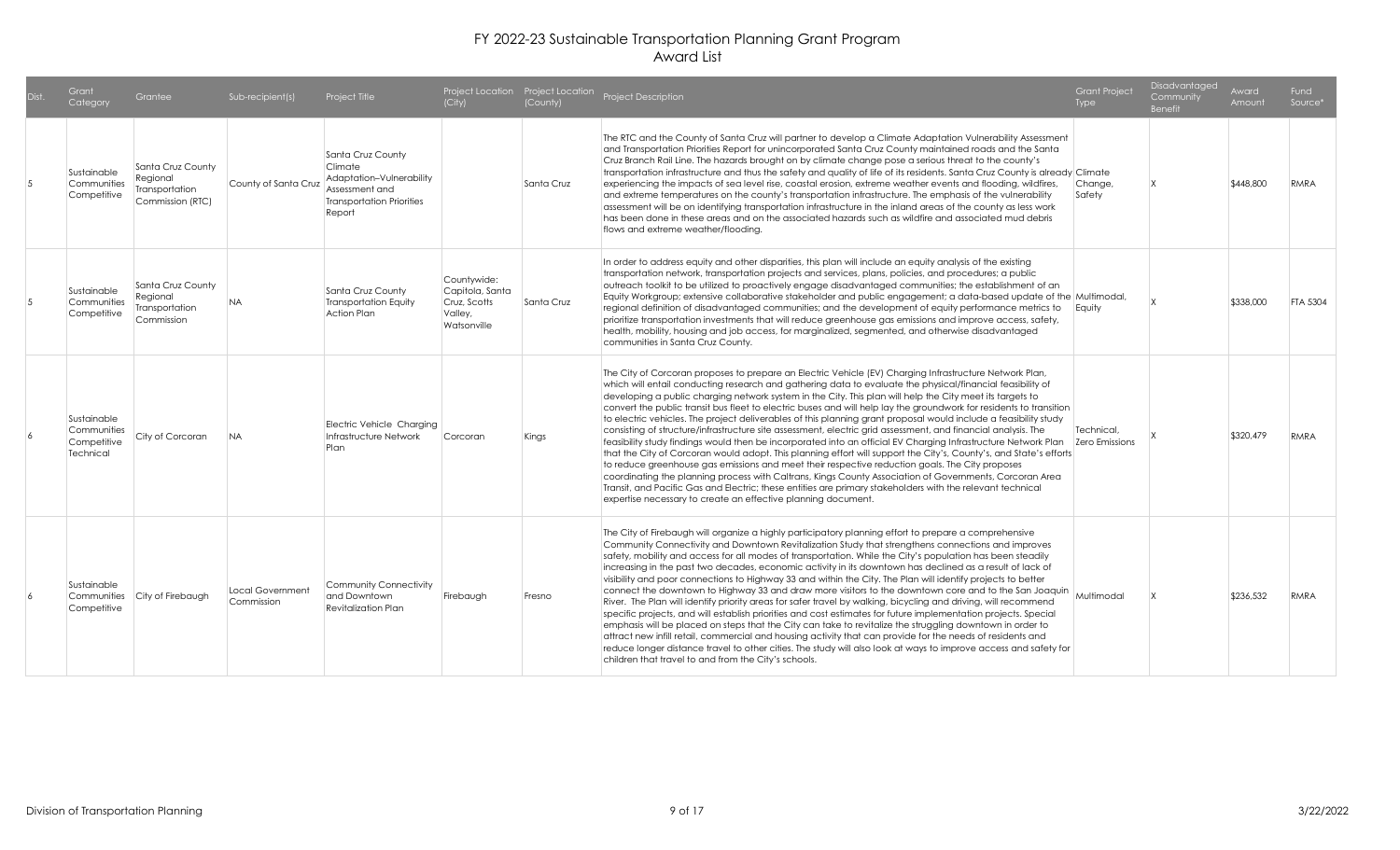|                | Grant<br>Category                                      | Grantee                                                             | Sub-recipient(s)               | Project Title                                                                                                            | (City)                                                                   | (County)   | Project Location Project Location Project Description                                                                                                                                                                                                                                                                                                                                                                                                                                                                                                                                                                                                                                                                                                                                                                                                                                                                                                                                                                                                                                                                                                                                                                                                                                                                                                | <b>Grant Project</b><br>Type | Disadvantaged<br>Community<br><b>Benefit</b> | Award<br>Amount | Fund<br>Source* |
|----------------|--------------------------------------------------------|---------------------------------------------------------------------|--------------------------------|--------------------------------------------------------------------------------------------------------------------------|--------------------------------------------------------------------------|------------|------------------------------------------------------------------------------------------------------------------------------------------------------------------------------------------------------------------------------------------------------------------------------------------------------------------------------------------------------------------------------------------------------------------------------------------------------------------------------------------------------------------------------------------------------------------------------------------------------------------------------------------------------------------------------------------------------------------------------------------------------------------------------------------------------------------------------------------------------------------------------------------------------------------------------------------------------------------------------------------------------------------------------------------------------------------------------------------------------------------------------------------------------------------------------------------------------------------------------------------------------------------------------------------------------------------------------------------------------|------------------------------|----------------------------------------------|-----------------|-----------------|
| $\overline{5}$ | Sustainable<br>Communities<br>Competitive              | Santa Cruz County<br>Regional<br>Transportation<br>Commission (RTC) | County of Santa Cruz           | Santa Cruz County<br>Climate<br>Adaptation-Vulnerability<br>Assessment and<br><b>Transportation Priorities</b><br>Report |                                                                          | Santa Cruz | The RTC and the County of Santa Cruz will partner to develop a Climate Adaptation Vulnerability Assessment<br>and Transportation Priorities Report for unincorporated Santa Cruz County maintained roads and the Santa<br>Cruz Branch Rail Line. The hazards brought on by climate change pose a serious threat to the county's<br>transportation infrastructure and thus the safety and quality of life of its residents. Santa Cruz County is already Climate<br>experiencing the impacts of sea level rise, coastal erosion, extreme weather events and flooding, wildfires,<br>and extreme temperatures on the county's transportation infrastructure. The emphasis of the vulnerability<br>assessment will be on identifying transportation infrastructure in the inland areas of the county as less work<br>has been done in these areas and on the associated hazards such as wildfire and associated mud debris<br>flows and extreme weather/floodina.                                                                                                                                                                                                                                                                                                                                                                                       | Change,<br>Safety            |                                              | \$448,800       | RMRA            |
| $\overline{5}$ | Sustainable<br>Communities<br>Competitive              | Santa Cruz County<br>Regional<br>Transportation<br>Commission       | <b>NA</b>                      | Santa Cruz County<br><b>Transportation Equity</b><br>Action Plan                                                         | Countwwide:<br>Capitola, Santa<br>Cruz, Scotts<br>Valley,<br>Watsonville | Santa Cruz | In order to address equity and other disparities, this plan will include an equity analysis of the existing<br>transportation network, transportation projects and services, plans, policies, and procedures; a public<br>outreach toolkit to be utilized to proactively engage disadvantaged communities; the establishment of an<br>Equity Workgroup; extensive collaborative stakeholder and public engagement; a data-based update of the Multimodal,<br>regional definition of disadvantaged communities; and the development of equity performance metrics to Equity<br>prioritize transportation investments that will reduce greenhouse gas emissions and improve access, safety,<br>health, mobility, housing and job access, for marginalized, segmented, and otherwise disadvantaged<br>communities in Santa Cruz County.                                                                                                                                                                                                                                                                                                                                                                                                                                                                                                                 |                              |                                              | \$338,000       | <b>FTA 5304</b> |
|                | Sustainable<br>Communities<br>Competitive<br>Technical | City of Corcoran                                                    | <b>NA</b>                      | Electric Vehicle Charging<br>Infrastructure Network<br>Plan                                                              | Corcoran                                                                 | Kings      | The City of Corcoran proposes to prepare an Electric Vehicle (EV) Charging Infrastructure Network Plan,<br>which will entail conducting research and gathering data to evaluate the physical/financial feasibility of<br>developing a public charging network system in the City. This plan will help the City meet its targets to<br>convert the public transit bus fleet to electric buses and will help lay the groundwork for residents to transition<br>to electric vehicles. The project deliverables of this planning grant proposal would include a feasibility study<br>consisting of structure/infrastructure site assessment, electric grid assessment, and financial analysis. The<br>feasibility study findings would then be incorporated into an official EV Charging Infrastructure Network Plan   Zero Emissions<br>that the City of Corcoran would adopt. This planning effort will support the City's, County's, and State's efforts<br>to reduce greenhouse gas emissions and meet their respective reduction goals. The City proposes<br>coordinating the planning process with Caltrans, Kings County Association of Governments, Corcoran Area<br>Transit, and Pacific Gas and Electric; these entities are primary stakeholders with the relevant technical<br>expertise necessary to create an effective planning document. | Technical.                   |                                              | \$320,479       | <b>RMRA</b>     |
| 6              | Sustainable<br>Communities<br>Competitive              | City of Firebaugh                                                   | Local Government<br>Commission | Community Connectivity<br>and Downtown<br><b>Revitalization Plan</b>                                                     | Firebaugh                                                                | Fresno     | The City of Firebaugh will organize a highly participatory planning effort to prepare a comprehensive<br>Community Connectivity and Downtown Revitalization Study that strengthens connections and improves<br>safety, mobility and access for all modes of transportation. While the City's population has been steadily<br>increasing in the past two decades, economic activity in its downtown has declined as a result of lack of<br>visibility and poor connections to Highway 33 and within the City. The Plan will identify projects to better<br>connect the downtown to Highway 33 and draw more visitors to the downtown core and to the San Joaquin<br>River. The Plan will identify priority areas for safer travel by walking, bicycling and driving, will recommend<br>specific projects, and will establish priorities and cost estimates for future implementation projects. Special<br>emphasis will be placed on steps that the City can take to revitalize the struggling downtown in order to<br>attract new infill retail, commercial and housing activity that can provide for the needs of residents and<br>reduce longer distance travel to other cities. The study will also look at ways to improve access and safety for<br>children that travel to and from the City's schools.                                         | Multimodal                   |                                              | \$236,532       | <b>RMRA</b>     |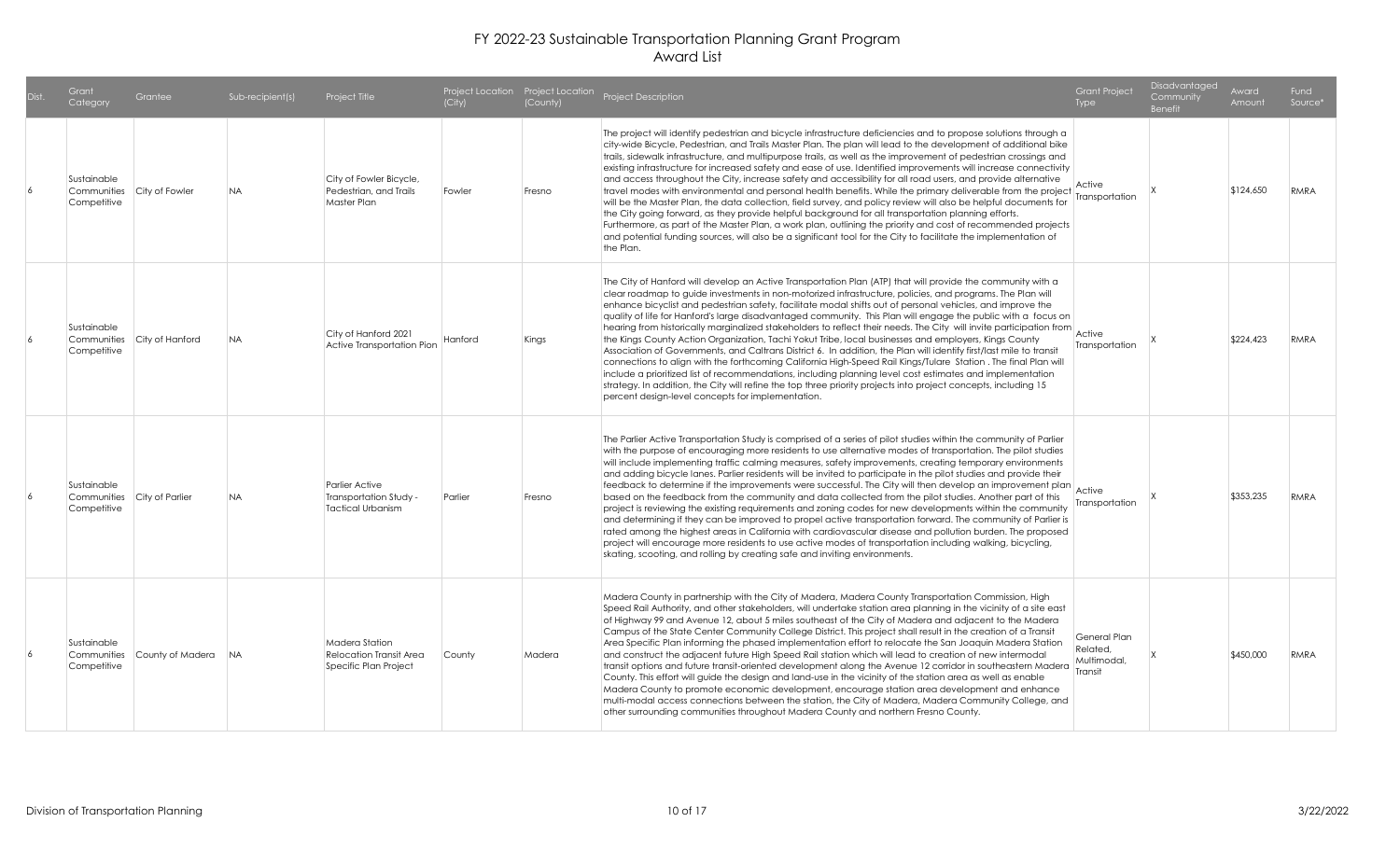| Dist. | Category                                                  | Grantee                     | Sub-recipient(s) | Project Title                                                             | (City)  | (County) | Project Location Project Location Project Description                                                                                                                                                                                                                                                                                                                                                                                                                                                                                                                                                                                                                                                                                                                                                                                                                                                                                                                                                                                                                                                                                                                                                                             | <b>Grant Project</b><br><b>Type</b>                | Disadvantaged<br>Community<br><b>Benefit</b> | Award<br>Amount | Fund<br>Source* |
|-------|-----------------------------------------------------------|-----------------------------|------------------|---------------------------------------------------------------------------|---------|----------|-----------------------------------------------------------------------------------------------------------------------------------------------------------------------------------------------------------------------------------------------------------------------------------------------------------------------------------------------------------------------------------------------------------------------------------------------------------------------------------------------------------------------------------------------------------------------------------------------------------------------------------------------------------------------------------------------------------------------------------------------------------------------------------------------------------------------------------------------------------------------------------------------------------------------------------------------------------------------------------------------------------------------------------------------------------------------------------------------------------------------------------------------------------------------------------------------------------------------------------|----------------------------------------------------|----------------------------------------------|-----------------|-----------------|
|       | Sustainable<br>Communities City of Fowler<br>Competitive  |                             | <b>NA</b>        | City of Fowler Bicycle,<br>Pedestrian, and Trails<br>Master Plan          | Fowler  | Fresno   | The project will identify pedestrian and bicycle infrastructure deficiencies and to propose solutions through a<br>city-wide Bicycle, Pedestrian, and Trails Master Plan. The plan will lead to the development of additional bike<br>trails, sidewalk infrastructure, and multipurpose trails, as well as the improvement of pedestrian crossings and<br>existing infrastructure for increased safety and ease of use. Identified improvements will increase connectivity<br>and access throughout the City, increase safety and accessibility for all road users, and provide alternative<br>travel modes with environmental and personal health benefits. While the primary deliverable from the project<br>will be the Master Plan, the data collection, field survey, and policy review will also be helpful documents for<br>the City going forward, as they provide helpful background for all transportation planning efforts.<br>Furthermore, as part of the Master Plan, a work plan, outlining the priority and cost of recommended projects<br>and potential funding sources, will also be a significant tool for the City to facilitate the implementation of<br>the Plan.                                           | Active<br>Transportation                           |                                              | \$124,650       | RMRA            |
|       | Sustainable<br>Competitive                                | Communities City of Hanford | <b>NA</b>        | City of Hanford 2021<br>Active Transportation Pion                        | Hanford | Kings    | The City of Hanford will develop an Active Transportation Plan (ATP) that will provide the community with a<br>clear roadmap to guide investments in non-motorized infrastructure, policies, and programs. The Plan will<br>enhance bicyclist and pedestrian safety, facilitate modal shifts out of personal vehicles, and improve the<br>quality of life for Hanford's large disadvantaged community. This Plan will engage the public with a focus on<br>hearing from historically marginalized stakeholders to reflect their needs. The City will invite participation from Active<br>the Kings County Action Organization, Tachi Yokut Tribe, local businesses and employers, Kings County<br>Association of Governments, and Caltrans District 6. In addition, the Plan will identify first/last mile to transit<br>connections to align with the forthcoming California High-Speed Rail Kings/Tulare Station. The final Plan will<br>include a prioritized list of recommendations, including planning level cost estimates and implementation<br>strategy. In addition, the City will refine the top three priority projects into project concepts, including 15<br>percent design-level concepts for implementation.      | Transportation                                     |                                              | \$224,423       | RMRA            |
|       | Sustainable<br>Communities City of Parlier<br>Competitive |                             | <b>NA</b>        | Parlier Active<br>Transportation Study -<br>Tactical Urbanism             | Parlier | Fresno   | The Parlier Active Transportation Study is comprised of a series of pilot studies within the community of Parlier<br>with the purpose of encouraging more residents to use alternative modes of transportation. The pilot studies<br>will include implementing traffic calming measures, safety improvements, creating temporary environments<br>and adding bicycle lanes. Parlier residents will be invited to participate in the pilot studies and provide their<br>feedback to determine if the improvements were successful. The City will then develop an improvement plan<br>based on the feedback from the community and data collected from the pilot studies. Another part of this<br>project is reviewing the existing requirements and zoning codes for new developments within the community<br>and determining if they can be improved to propel active transportation forward. The community of Parlier is<br>rated among the highest areas in California with cardiovascular disease and pollution burden. The proposed<br>project will encourage more residents to use active modes of transportation including walking, bicycling,<br>skating, scooting, and rolling by creating safe and inviting environments. | ransportation                                      |                                              | \$353,235       | RMRA            |
|       | Sustainable<br>Communities<br>Competitive                 | County of Madera            | <b>NA</b>        | Madera Station<br><b>Relocation Transit Area</b><br>Specific Plan Project | County  | Madera   | Madera County in partnership with the City of Madera, Madera County Transportation Commission, High<br>Speed Rail Authority, and other stakeholders, will undertake station area planning in the vicinity of a site east<br>of Highway 99 and Avenue 12, about 5 miles southeast of the City of Madera and adjacent to the Madera<br>Campus of the State Center Community College District. This project shall result in the creation of a Transit<br>Area Specific Plan informing the phased implementation effort to relocate the San Joaquin Madera Station<br>and construct the adjacent future High Speed Rail station which will lead to creation of new intermodal<br>transit options and future transit-oriented development along the Avenue 12 corridor in southeastern Madera<br>County. This effort will guide the design and land-use in the vicinity of the station area as well as enable<br>Madera County to promote economic development, encourage station area development and enhance<br>multi-modal access connections between the station, the City of Madera, Madera Community College, and<br>other surrounding communities throughout Madera County and northern Fresno County.                          | General Plan<br>Related.<br>Multimodal,<br>Transit |                                              | \$450,000       | RMRA            |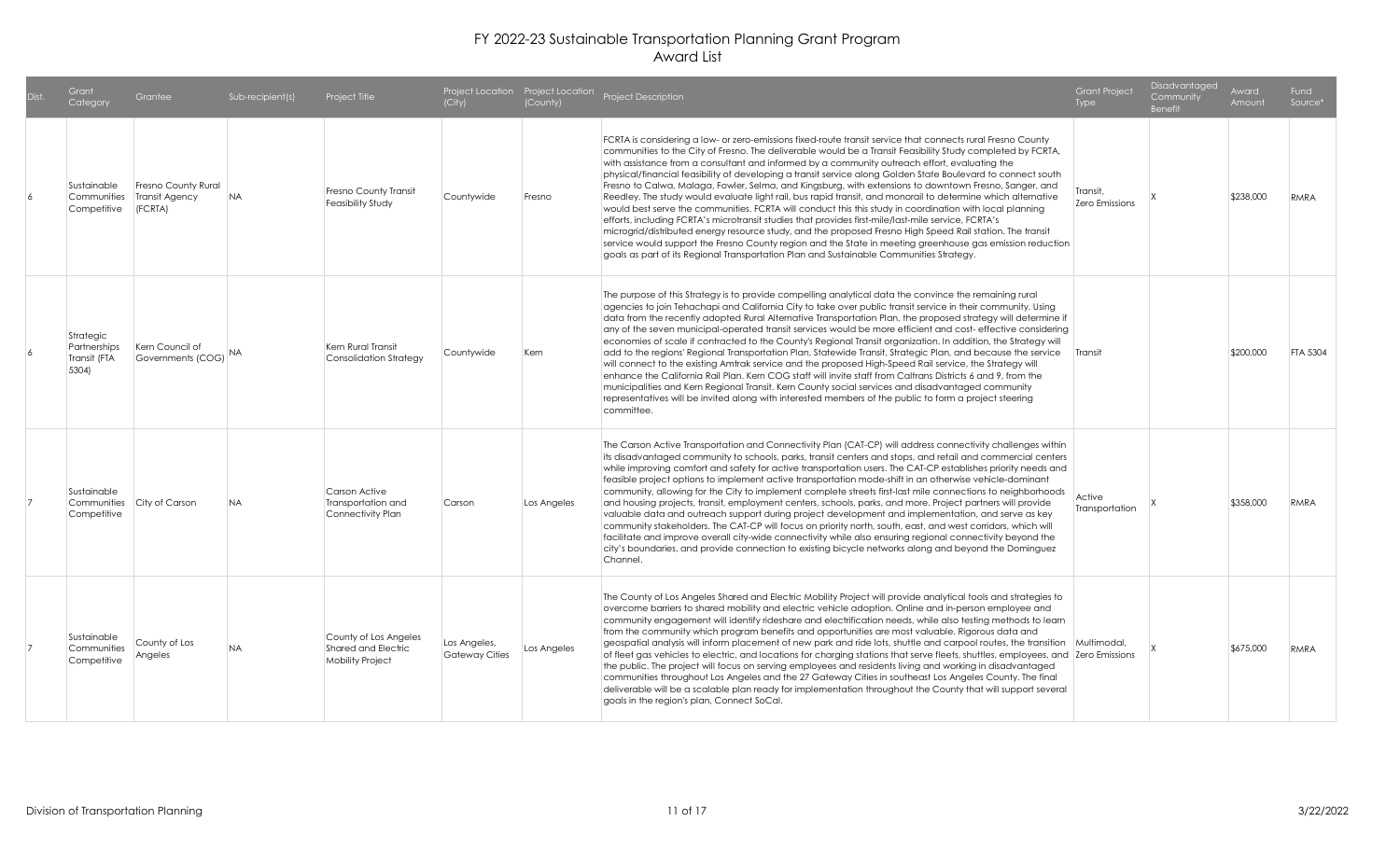| Dist. | Grant<br>Category                                 | Grantee                                          | Sub-recipient(s) | Project Title                                                    | (City)                                | (County)    | Project Location Project Location Project Description                                                                                                                                                                                                                                                                                                                                                                                                                                                                                                                                                                                                                                                                                                                                                                                                                                                                                                                                                                                                                                                                                                                                                         | <b>Grant Project</b><br>Type | Disadvantaged<br>Community<br><b>Benefit</b> | Award<br>Amount | Fund<br>Source* |
|-------|---------------------------------------------------|--------------------------------------------------|------------------|------------------------------------------------------------------|---------------------------------------|-------------|---------------------------------------------------------------------------------------------------------------------------------------------------------------------------------------------------------------------------------------------------------------------------------------------------------------------------------------------------------------------------------------------------------------------------------------------------------------------------------------------------------------------------------------------------------------------------------------------------------------------------------------------------------------------------------------------------------------------------------------------------------------------------------------------------------------------------------------------------------------------------------------------------------------------------------------------------------------------------------------------------------------------------------------------------------------------------------------------------------------------------------------------------------------------------------------------------------------|------------------------------|----------------------------------------------|-----------------|-----------------|
|       | Sustainable<br>Communities<br>Competitive         | Fresno County Rural<br>Transit Agency<br>(FCRTA) | <b>NA</b>        | Fresno County Transit<br>Feasibility Study                       | Countywide                            | Fresno      | FCRTA is considering a low- or zero-emissions fixed-route transit service that connects rural Fresno County<br>communities to the City of Fresno. The deliverable would be a Transit Feasibility Study completed by FCRTA,<br>with assistance from a consultant and informed by a community outreach effort, evaluating the<br>physical/financial feasibility of developing a transit service along Golden State Boulevard to connect south<br>Fresno to Calwa, Malaga, Fowler, Selma, and Kingsburg, with extensions to downtown Fresno, Sanger, and<br>Reedley. The study would evaluate light rail, bus rapid transit, and monorail to determine which alternative<br>would best serve the communities. FCRTA will conduct this this study in coordination with local planning<br>efforts, including FCRTA's microtransit studies that provides first-mile/last-mile service, FCRTA's<br>microgrid/distributed energy resource study, and the proposed Fresno High Speed Rail station. The transit<br>service would support the Fresno County region and the State in meeting greenhouse gas emission reduction<br>goals as part of its Regional Transportation Plan and Sustainable Communities Strategy. | Transit.<br>Zero Emissions   |                                              | \$238,000       | RMRA            |
|       | Strategic<br>Partnerships<br>Transit (FTA<br>5304 | Kern Council of<br>Governments (COG)             |                  | Kern Rural Transit<br><b>Consolidation Strateav</b>              | Countywide                            | Kern        | The purpose of this Strategy is to provide compelling analytical data the convince the remaining rural<br>agencies to join Tehachapi and California City to take over public transit service in their community. Using<br>data from the recently adopted Rural Alternative Transportation Plan, the proposed strategy will determine if<br>any of the seven municipal-operated transit services would be more efficient and cost-effective considering<br>economies of scale if contracted to the County's Regional Transit organization. In addition, the Strategy will<br>add to the regions' Regional Transportation Plan, Statewide Transit, Strategic Plan, and because the service<br>will connect to the existing Amtrak service and the proposed High-Speed Rail service, the Strategy will<br>enhance the California Rail Plan. Kern COG staff will invite staff from Caltrans Districts 6 and 9, from the<br>municipalities and Kern Regional Transit. Kern County social services and disadvantaged community<br>representatives will be invited along with interested members of the public to form a project steering<br>committee.                                                              | Transit                      |                                              | \$200,000       | <b>FTA 5304</b> |
|       | Sustainable<br>Competitive                        | Communities City of Carson                       | <b>NA</b>        | Carson Active<br>Transportation and<br>Connectivity Plan         | Carson                                | Los Angeles | The Carson Active Transportation and Connectivity Plan (CAT-CP) will address connectivity challenges within<br>its disadvantaged community to schools, parks, transit centers and stops, and retail and commercial centers<br>while improving comfort and safety for active transportation users. The CAT-CP establishes priority needs and<br>feasible project options to implement active transportation mode-shift in an otherwise vehicle-dominant<br>community, allowing for the City to implement complete streets first-last mile connections to neighborhoods<br>and housing projects, transit, employment centers, schools, parks, and more. Project partners will provide<br>valuable data and outreach support during project development and implementation, and serve as key<br>community stakeholders. The CAT-CP will focus on priority north, south, east, and west corridors, which will<br>facilitate and improve overall city-wide connectivity while also ensuring regional connectivity beyond the<br>city's boundaries, and provide connection to existing bicycle networks along and beyond the Dominguez<br>Channel.                                                                  | Active<br>Transportation     |                                              | \$358,000       | RMRA            |
|       | Sustainable<br>Communities<br>Competitive         | County of Los<br>Angeles                         | <b>NA</b>        | County of Los Angeles<br>Shared and Electric<br>Mobility Project | Los Angeles,<br><b>Gateway Cities</b> | Los Angeles | The County of Los Angeles Shared and Electric Mobility Project will provide analytical tools and strategies to<br>overcome barriers to shared mobility and electric vehicle adoption. Online and in-person employee and<br>community engagement will identify rideshare and electrification needs, while also testing methods to learn<br>from the community which program benefits and opportunities are most valuable. Rigorous data and<br>geospatial analysis will inform placement of new park and ride lots, shuttle and carpool routes, the transition Multimodal,<br>of fleet gas vehicles to electric, and locations for charging stations that serve fleets, shuttles, employees, and Zero Emissions<br>the public. The project will focus on serving employees and residents living and working in disadvantaged<br>communities throughout Los Angeles and the 27 Gateway Cities in southeast Los Angeles County. The final<br>deliverable will be a scalable plan ready for implementation throughout the County that will support several<br>goals in the region's plan, Connect SoCal.                                                                                                          |                              |                                              | \$675,000       | RMRA            |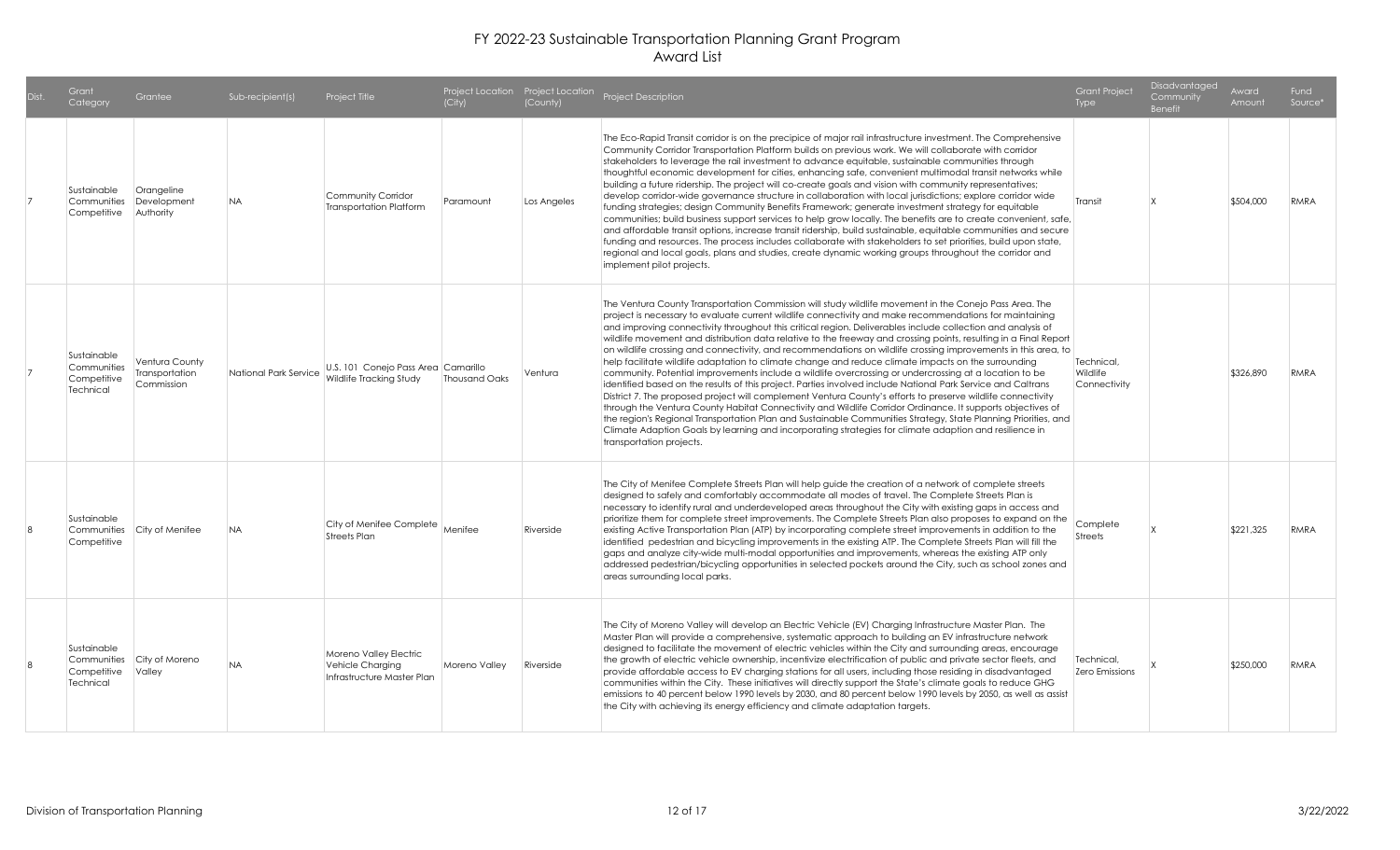| Dist. | Grant<br>Category                                      | Grantee                                        | Sub-recipient(s)      | Project Title                                                            | (City)        | (County)    | Project Location Project Location Project Description                                                                                                                                                                                                                                                                                                                                                                                                                                                                                                                                                                                                                                                                                                                                                                                                                                                                                                                                                                                                                                                                                                                                                                                                                                                                                                                                       | <b>Grant Project</b><br><b>Type</b>           | <b>Disadvantaged</b><br>Community<br><b>Benefit</b> | Award<br>Amount | Fund<br>Source* |
|-------|--------------------------------------------------------|------------------------------------------------|-----------------------|--------------------------------------------------------------------------|---------------|-------------|---------------------------------------------------------------------------------------------------------------------------------------------------------------------------------------------------------------------------------------------------------------------------------------------------------------------------------------------------------------------------------------------------------------------------------------------------------------------------------------------------------------------------------------------------------------------------------------------------------------------------------------------------------------------------------------------------------------------------------------------------------------------------------------------------------------------------------------------------------------------------------------------------------------------------------------------------------------------------------------------------------------------------------------------------------------------------------------------------------------------------------------------------------------------------------------------------------------------------------------------------------------------------------------------------------------------------------------------------------------------------------------------|-----------------------------------------------|-----------------------------------------------------|-----------------|-----------------|
|       | Sustainable<br>Communities<br>Competitive              | Orangeline<br>Development<br>Authority         | NA.                   | Community Corridor<br><b>Transportation Platform</b>                     | Paramount     | Los Angeles | The Eco-Rapid Transit corridor is on the precipice of major rail infrastructure investment. The Comprehensive<br>Community Corridor Transportation Platform builds on previous work. We will collaborate with corridor<br>stakeholders to leverage the rail investment to advance equitable, sustainable communities through<br>thoughtful economic development for cities, enhancing safe, convenient multimodal transit networks while<br>building a future ridership. The project will co-create goals and vision with community representatives;<br>develop corridor-wide governance structure in collaboration with local jurisdictions; explore corridor wide<br>funding strategies; design Community Benefits Framework; generate investment strategy for equitable<br>communities; build business support services to help grow locally. The benefits are to create convenient, safe,<br>and affordable transit options, increase transit ridership, build sustainable, equitable communities and secure<br>funding and resources. The process includes collaborate with stakeholders to set priorities, build upon state,<br>regional and local goals, plans and studies, create dynamic working groups throughout the corridor and<br>implement pilot projects.                                                                                                                   | Transit                                       |                                                     | \$504,000       | RMRA            |
|       | Sustainable<br>Communities<br>Competitive<br>Technical | Ventura County<br>Transportation<br>Commission | National Park Service | U.S. 101 Conejo Pass Area Camarillo<br>Wildlife Tracking Study           | Thousand Oaks | Ventura     | The Ventura County Transportation Commission will study wildlife movement in the Conejo Pass Area. The<br>project is necessary to evaluate current wildlife connectivity and make recommendations for maintaining<br>and improving connectivity throughout this critical region. Deliverables include collection and analysis of<br>wildlife movement and distribution data relative to the freeway and crossing points, resulting in a Final Report<br>on wildlife crossing and connectivity, and recommendations on wildlife crossing improvements in this area, to<br>help facilitate wildlife adaptation to climate change and reduce climate impacts on the surrounding<br>community. Potential improvements include a wildlife overcrossing or undercrossing at a location to be<br>identified based on the results of this project. Parties involved include National Park Service and Caltrans<br>District 7. The proposed project will complement Ventura County's efforts to preserve wildlife connectivity<br>through the Ventura County Habitat Connectivity and Wildlife Corridor Ordinance. It supports objectives of<br>the region's Regional Transportation Plan and Sustainable Communities Strategy, State Planning Priorities, and<br>Climate Adaption Goals by learning and incorporating strategies for climate adaption and resilience in<br>transportation projects. | Technical,<br><b>Wildlife</b><br>Connectivity |                                                     | \$326,890       | RMRA            |
|       | Sustainable<br>Communities<br>Competitive              | City of Menifee                                | <b>NA</b>             | City of Menifee Complete Menifee<br><b>Streets Plan</b>                  |               | Riverside   | The City of Menifee Complete Streets Plan will help guide the creation of a network of complete streets<br>designed to safely and comfortably accommodate all modes of travel. The Complete Streets Plan is<br>necessary to identify rural and underdeveloped areas throughout the City with existing gaps in access and<br>prioritize them for complete street improvements. The Complete Streets Plan also proposes to expand on the<br>existing Active Transportation Plan (ATP) by incorporating complete street improvements in addition to the<br>identified pedestrian and bicycling improvements in the existing ATP. The Complete Streets Plan will fill the<br>gaps and analyze city-wide multi-modal opportunities and improvements, whereas the existing ATP only<br>addressed pedestrian/bicycling opportunities in selected pockets around the City, such as school zones and<br>areas surrounding local parks.                                                                                                                                                                                                                                                                                                                                                                                                                                                               | Complete<br><b>Streets</b>                    |                                                     | \$221,325       | RMRA            |
|       | Sustainable<br>Communities<br>Competitive<br>Technical | City of Moreno<br>Valley                       | <b>NA</b>             | Moreno Valley Electric<br>Vehicle Charging<br>Infrastructure Master Plan | Moreno Valley | Riverside   | The City of Moreno Valley will develop an Electric Vehicle (EV) Charging Infrastructure Master Plan. The<br>Master Plan will provide a comprehensive, systematic approach to building an EV infrastructure network<br>designed to facilitate the movement of electric vehicles within the City and surrounding areas, encourage<br>the growth of electric vehicle ownership, incentivize electrification of public and private sector fleets, and<br>provide affordable access to EV charging stations for all users, including those residing in disadvantaged<br>communities within the City. These initiatives will directly support the State's climate goals to reduce GHG<br>emissions to 40 percent below 1990 levels by 2030, and 80 percent below 1990 levels by 2050, as well as assist<br>the City with achieving its energy efficiency and climate adaptation targets.                                                                                                                                                                                                                                                                                                                                                                                                                                                                                                          | Technical,<br>Zero Emissions                  |                                                     | \$250,000       | RMRA            |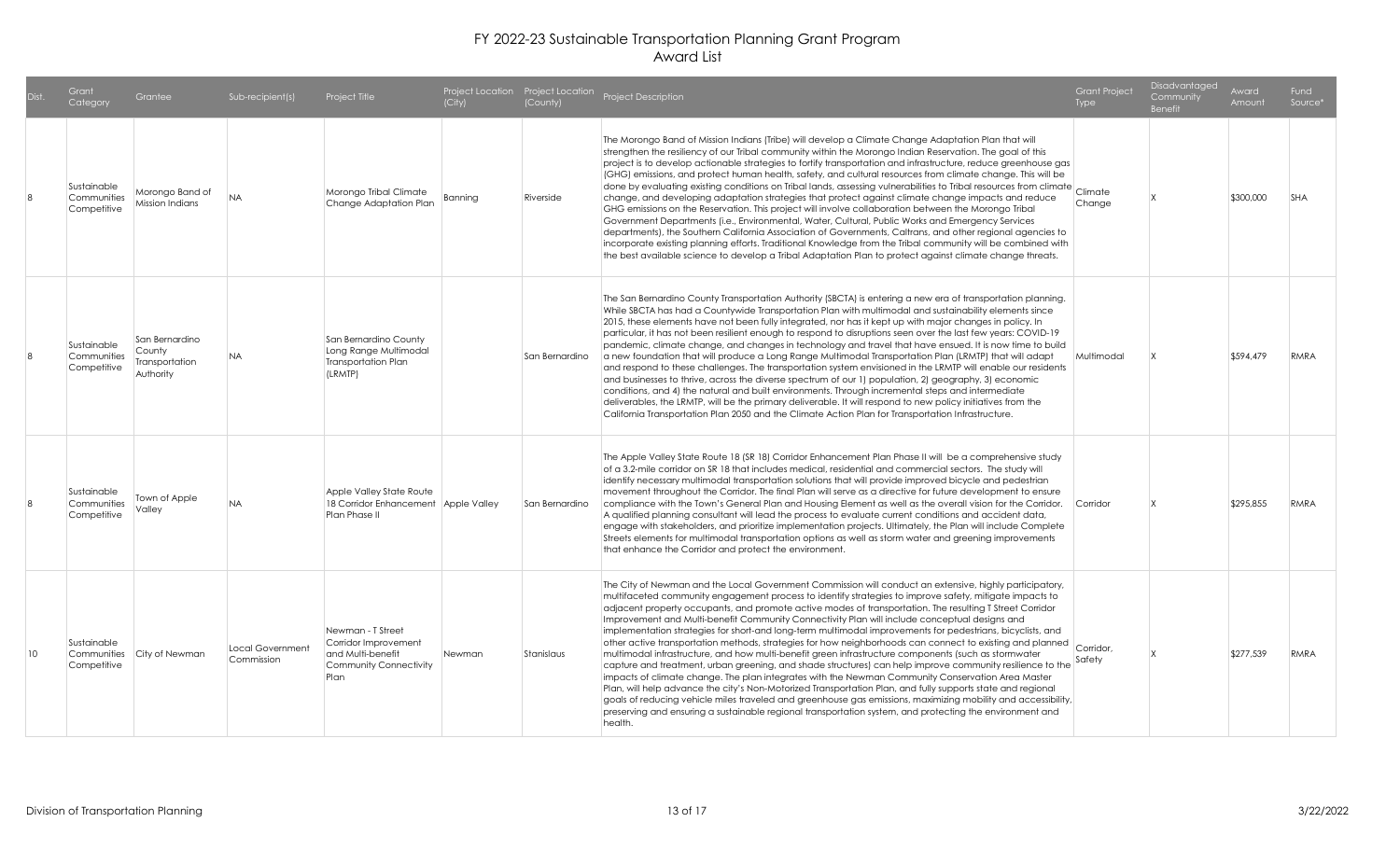| Dist.        | Grant<br>Category                         | Grantee                                                 | Sub-recipient(s)               | Project Title                                                                                    | (City)  | (County)       | Project Location Project Location Project Description                                                                                                                                                                                                                                                                                                                                                                                                                                                                                                                                                                                                                                                                                                                                                                                                                                                                                                                                                                                                                                                                                                                                                                                                                                                                                       | <b>Grant Project</b><br>Type | <b>Disadvantaged</b><br>Community<br><b>Benefit</b> | Award<br>Amount | Fund<br>Source* |
|--------------|-------------------------------------------|---------------------------------------------------------|--------------------------------|--------------------------------------------------------------------------------------------------|---------|----------------|---------------------------------------------------------------------------------------------------------------------------------------------------------------------------------------------------------------------------------------------------------------------------------------------------------------------------------------------------------------------------------------------------------------------------------------------------------------------------------------------------------------------------------------------------------------------------------------------------------------------------------------------------------------------------------------------------------------------------------------------------------------------------------------------------------------------------------------------------------------------------------------------------------------------------------------------------------------------------------------------------------------------------------------------------------------------------------------------------------------------------------------------------------------------------------------------------------------------------------------------------------------------------------------------------------------------------------------------|------------------------------|-----------------------------------------------------|-----------------|-----------------|
|              | Sustainable<br>Communities<br>Competitive | Morongo Band of<br>Mission Indians                      | <b>NA</b>                      | Morongo Tribal Climate<br>Change Adaptation Plan                                                 | Banning | Riverside      | The Morongo Band of Mission Indians (Tribe) will develop a Climate Change Adaptation Plan that will<br>strengthen the resiliency of our Tribal community within the Morongo Indian Reservation. The goal of this<br>project is to develop actionable strategies to fortify transportation and infrastructure, reduce greenhouse gas<br>(GHG) emissions, and protect human health, safety, and cultural resources from climate change. This will be<br>done by evaluating existing conditions on Tribal lands, assessing vulnerabilities to Tribal resources from climate<br>change, and developing adaptation strategies that protect against climate change impacts and reduce<br>GHG emissions on the Reservation. This project will involve collaboration between the Morongo Tribal<br>Government Departments (i.e., Environmental, Water, Cultural, Public Works and Emergency Services<br>departments), the Southern California Association of Governments, Caltrans, and other regional agencies to<br>incorporate existing planning efforts. Traditional Knowledge from the Tribal community will be combined with<br>the best available science to develop a Tribal Adaptation Plan to protect against climate change threats.                                                                                                     | Climate<br>Change            |                                                     | \$300,000       | <b>SHA</b>      |
| $\mathbf{8}$ | Sustainable<br>Communities<br>Competitive | San Bernardino<br>County<br>Transportation<br>Authority | <b>NA</b>                      | San Bernardino County<br>Long Range Multimodal<br>Transportation Plan<br>(LRMTP)                 |         | San Bernardino | The San Bernardino County Transportation Authority (SBCTA) is entering a new era of transportation planning.<br>While SBCTA has had a Countywide Transportation Plan with multimodal and sustainability elements since<br>2015, these elements have not been fully integrated, nor has it kept up with major changes in policy. In<br>particular, it has not been resilient enough to respond to disruptions seen over the last few years: COVID-19<br>pandemic, climate change, and changes in technology and travel that have ensued. It is now time to build<br>a new foundation that will produce a Long Range Multimodal Transportation Plan (LRMTP) that will adapt<br>and respond to these challenges. The transportation system envisioned in the LRMTP will enable our residents<br>and businesses to thrive, across the diverse spectrum of our 1) population, 2) geography, 3) economic<br>conditions, and 4) the natural and built environments. Through incremental steps and intermediate<br>deliverables, the LRMTP, will be the primary deliverable. It will respond to new policy initiatives from the<br>California Transportation Plan 2050 and the Climate Action Plan for Transportation Infrastructure.                                                                                                               | Multimodal                   |                                                     | \$594,479       | RMRA            |
|              | Sustainable<br>Communities<br>Competitive | Town of Apple<br>Valley                                 | <b>NA</b>                      | Apple Valley State Route<br>18 Corridor Enhancement Apple Valley<br>Plan Phase II                |         | San Bernardino | The Apple Valley State Route 18 (SR 18) Corridor Enhancement Plan Phase II will be a comprehensive study<br>of a 3.2-mile corridor on SR 18 that includes medical, residential and commercial sectors. The study will<br>identify necessary multimodal transportation solutions that will provide improved bicycle and pedestrian<br>movement throughout the Corridor. The final Plan will serve as a directive for future development to ensure<br>compliance with the Town's General Plan and Housing Element as well as the overall vision for the Corridor.<br>A qualified planning consultant will lead the process to evaluate current conditions and accident data,<br>engage with stakeholders, and prioritize implementation projects. Ultimately, the Plan will include Complete<br>Streets elements for multimodal transportation options as well as storm water and greening improvements<br>that enhance the Corridor and protect the environment.                                                                                                                                                                                                                                                                                                                                                                             | Corridor                     |                                                     | \$295.855       | RMRA            |
| 10           | Sustainable<br>Communities<br>Competitive | City of Newman                                          | Local Government<br>Commission | Newman - T Street<br>Corridor Improvement<br>and Multi-benefit<br>Community Connectivity<br>Plan | Newman  | Stanislaus     | The City of Newman and the Local Government Commission will conduct an extensive, highly participatory,<br>multifaceted community engagement process to identify strategies to improve safety, mitigate impacts to<br>adjacent property occupants, and promote active modes of transportation. The resulting T Street Corridor<br>Improvement and Multi-benefit Community Connectivity Plan will include conceptual designs and<br>implementation strategies for short-and long-term multimodal improvements for pedestrians, bicyclists, and<br>other active transportation methods, strategies for how neighborhoods can connect to existing and planned<br>multimodal infrastructure, and how multi-benefit green infrastructure components (such as stormwater<br>capture and treatment, urban greening, and shade structures) can help improve community resilience to the<br>impacts of climate change. The plan integrates with the Newman Community Conservation Area Master<br>Plan, will help advance the city's Non-Motorized Transportation Plan, and fully supports state and regional<br>goals of reducing vehicle miles traveled and greenhouse gas emissions, maximizing mobility and accessibility,<br>preserving and ensuring a sustainable regional transportation system, and protecting the environment and<br>health. | Corridor,<br>Safety          |                                                     | \$277,539       | RMRA            |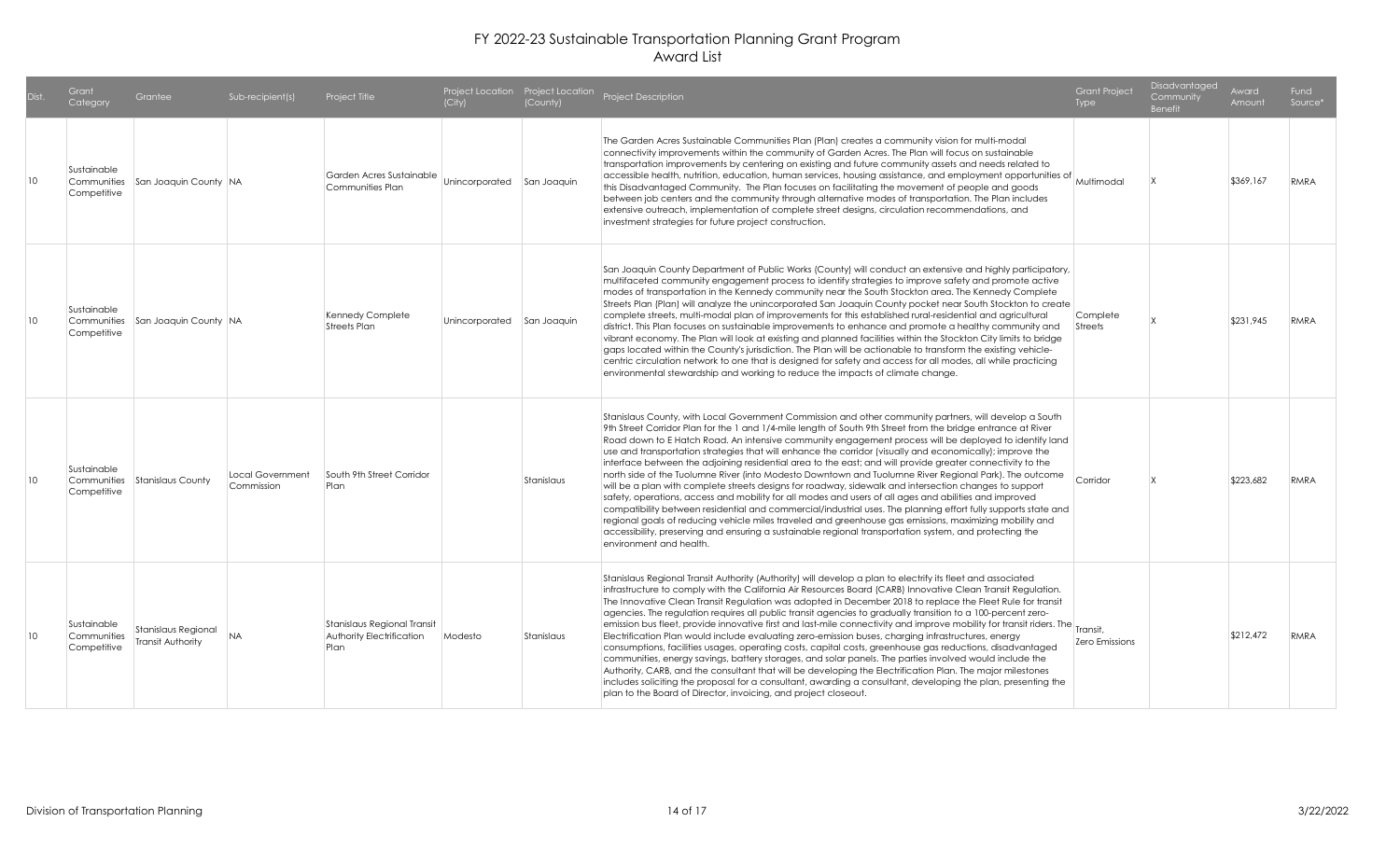|    | Grant<br>Category                         | Grantee                                  | Sub-recipient(s)               | Project Title                                                    | (City)                     | (County)   | Project Location Project Location Project Description                                                                                                                                                                                                                                                                                                                                                                                                                                                                                                                                                                                                                                                                                                                                                                                                                                                                                                                                                                                                                                                                                                                                                                                                        | <b>Grant Project</b><br>Type | Disadvantaged<br>Community<br><b>Benefit</b> | Award<br>Amount | Fund<br>Source* |
|----|-------------------------------------------|------------------------------------------|--------------------------------|------------------------------------------------------------------|----------------------------|------------|--------------------------------------------------------------------------------------------------------------------------------------------------------------------------------------------------------------------------------------------------------------------------------------------------------------------------------------------------------------------------------------------------------------------------------------------------------------------------------------------------------------------------------------------------------------------------------------------------------------------------------------------------------------------------------------------------------------------------------------------------------------------------------------------------------------------------------------------------------------------------------------------------------------------------------------------------------------------------------------------------------------------------------------------------------------------------------------------------------------------------------------------------------------------------------------------------------------------------------------------------------------|------------------------------|----------------------------------------------|-----------------|-----------------|
| 10 | Sustainable<br>Communities<br>Competitive | San Joaquin County NA                    |                                | Garden Acres Sustainable<br>Communities Plan                     | Unincorporated San Joaquin |            | The Garden Acres Sustainable Communities Plan (Plan) creates a community vision for multi-modal<br>connectivity improvements within the community of Garden Acres. The Plan will focus on sustainable<br>transportation improvements by centering on existing and future community assets and needs related to<br>accessible health, nutrition, education, human services, housing assistance, and employment opportunities of Multimodal<br>this Disadvantaged Community. The Plan focuses on facilitating the movement of people and goods<br>between job centers and the community through alternative modes of transportation. The Plan includes<br>extensive outreach, implementation of complete street designs, circulation recommendations, and<br>investment strategies for future project construction.                                                                                                                                                                                                                                                                                                                                                                                                                                            |                              |                                              | \$369,167       | <b>RMRA</b>     |
| 10 | Sustainable<br>Competitive                | Communities San Joaquin County NA        |                                | Kennedy Complete<br><b>Streets Plan</b>                          | Unincorporated San Joaquin |            | San Joaquin County Department of Public Works (County) will conduct an extensive and highly participatory,<br>multifaceted community engagement process to identify strategies to improve safety and promote active<br>modes of transportation in the Kennedy community near the South Stockton area. The Kennedy Complete<br>Streets Plan (Plan) will analyze the unincorporated San Joaquin County pocket near South Stockton to create<br>complete streets, multi-modal plan of improvements for this established rural-residential and agricultural<br>district. This Plan focuses on sustainable improvements to enhance and promote a healthy community and<br>vibrant economy. The Plan will look at existing and planned facilities within the Stockton City limits to bridge<br>gaps located within the County's jurisdiction. The Plan will be actionable to transform the existing vehicle-<br>centric circulation network to one that is designed for safety and access for all modes, all while practicing<br>environmental stewardship and working to reduce the impacts of climate change.                                                                                                                                                    | Complete<br>Streets          |                                              | \$231,945       | RMRA            |
| 10 | Sustainable<br>Communities<br>Competitive | Stanislaus County                        | Local Government<br>Commission | South 9th Street Corridor<br>Plan                                |                            | Stanislaus | Stanislaus County, with Local Government Commission and other community partners, will develop a South<br>9th Street Corridor Plan for the 1 and 1/4-mile length of South 9th Street from the bridge entrance at River<br>Road down to E Hatch Road. An intensive community engagement process will be deployed to identify land<br>use and transportation strategies that will enhance the corridor (visually and economically); improve the<br>interface between the adjoining residential area to the east; and will provide greater connectivity to the<br>north side of the Tuolumne River (into Modesto Downtown and Tuolumne River Regional Park). The outcome<br>will be a plan with complete streets designs for roadway, sidewalk and intersection changes to support<br>safety, operations, access and mobility for all modes and users of all ages and abilities and improved<br>compatibility between residential and commercial/industrial uses. The planning effort fully supports state and<br>regional goals of reducing vehicle miles traveled and greenhouse gas emissions, maximizing mobility and<br>accessibility, preserving and ensuring a sustainable regional transportation system, and protecting the<br>environment and health. | Corridor                     |                                              | \$223,682       | RMRA            |
| 10 | Sustainable<br>Communities<br>Competitive | Stanislaus Regional<br>Transit Authority | <b>NA</b>                      | Stanislaus Regional Transit<br>Authority Electrification<br>Plan | Modesto                    | Stanislaus | Stanislaus Regional Transit Authority (Authority) will develop a plan to electrify its fleet and associated<br>infrastructure to comply with the California Air Resources Board (CARB) Innovative Clean Transit Regulation.<br>The Innovative Clean Transit Regulation was adopted in December 2018 to replace the Fleet Rule for transit<br>agencies. The regulation requires all public transit agencies to gradually transition to a 100-percent zero-<br>emission bus fleet, provide innovative first and last-mile connectivity and improve mobility for transit riders. The Transit.<br>Electrification Plan would include evaluating zero-emission buses, charging infrastructures, energy<br>consumptions, facilities usages, operating costs, capital costs, greenhouse gas reductions, disadvantaged<br>communities, energy savings, battery storages, and solar panels. The parties involved would include the<br>Authority, CARB, and the consultant that will be developing the Electrification Plan. The major milestones<br>includes soliciting the proposal for a consultant, awarding a consultant, developing the plan, presenting the<br>plan to the Board of Director, invoicing, and project closeout.                                  | Zero Emissions               |                                              | \$212,472       | <b>RMRA</b>     |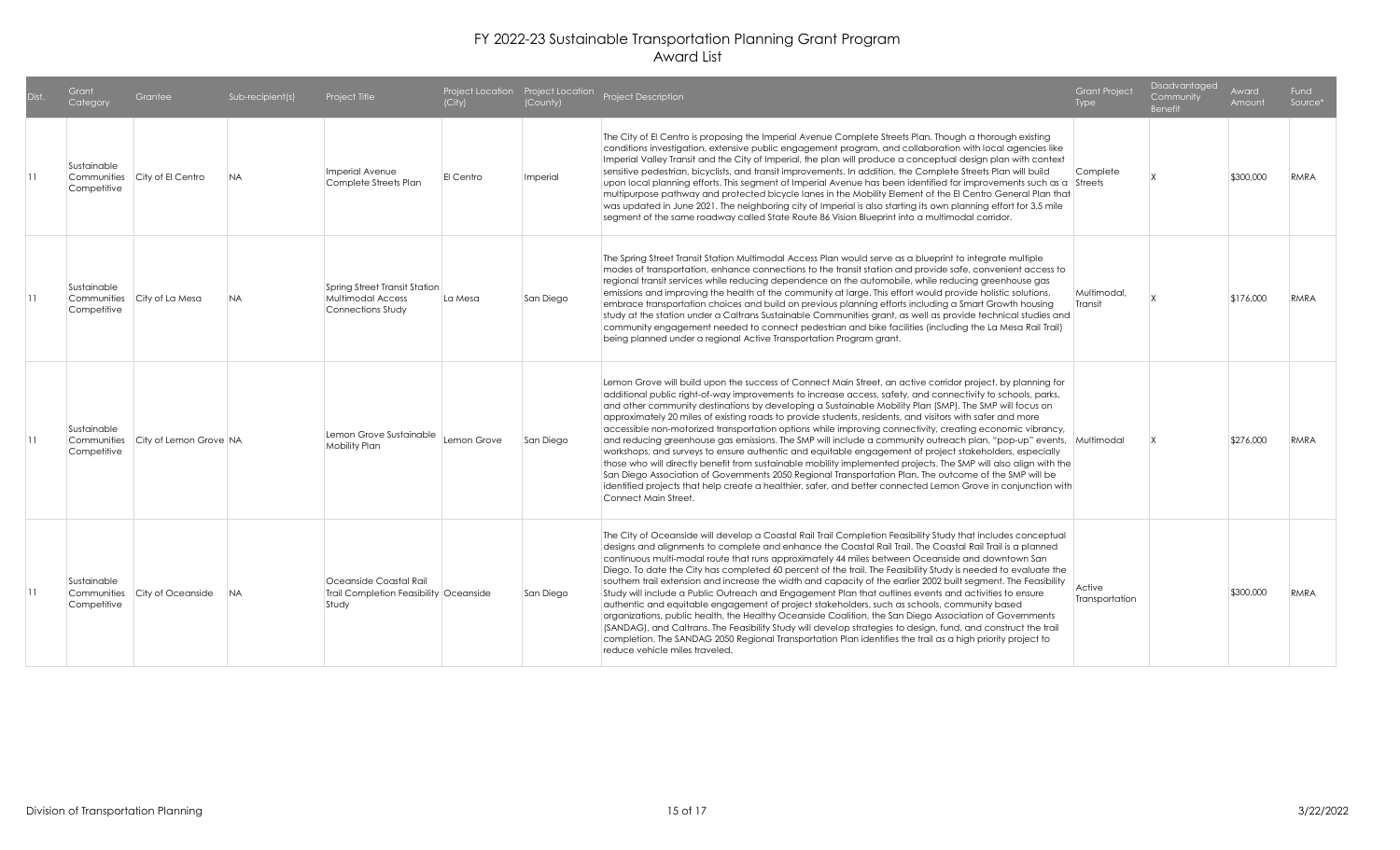| Dist.           | Grant<br>Category                         | Grantee                       | Sub-recipient(s) | Project Title                                                                  | (City)      | (County)  | Project Location Project Location Project Description                                                                                                                                                                                                                                                                                                                                                                                                                                                                                                                                                                                                                                                                                                                                                                                                                                                                                                                                                                                                                                                                                                                   | <b>Grant Project</b><br>Type | Disadvantaged<br>Community<br><b>Benefit</b> | Award<br>Amount | Fund<br>Source <sup>*</sup> |
|-----------------|-------------------------------------------|-------------------------------|------------------|--------------------------------------------------------------------------------|-------------|-----------|-------------------------------------------------------------------------------------------------------------------------------------------------------------------------------------------------------------------------------------------------------------------------------------------------------------------------------------------------------------------------------------------------------------------------------------------------------------------------------------------------------------------------------------------------------------------------------------------------------------------------------------------------------------------------------------------------------------------------------------------------------------------------------------------------------------------------------------------------------------------------------------------------------------------------------------------------------------------------------------------------------------------------------------------------------------------------------------------------------------------------------------------------------------------------|------------------------------|----------------------------------------------|-----------------|-----------------------------|
| $\overline{11}$ | Sustainable<br>Competitive                | Communities City of El Centro | NA.              | Imperial Avenue<br>Complete Streets Plan                                       | El Centro   | Imperial  | The City of El Centro is proposing the Imperial Avenue Complete Streets Plan. Though a thorough existing<br>conditions investigation, extensive public engagement program, and collaboration with local agencies like<br>Imperial Valley Transit and the City of Imperial, the plan will produce a conceptual design plan with context<br>sensitive pedestrian, bicyclists, and transit improvements. In addition, the Complete Streets Plan will build<br>upon local planning efforts. This segment of Imperial Avenue has been identified for improvements such as a Streets<br>multipurpose pathway and protected bicycle lanes in the Mobility Element of the El Centro General Plan that<br>was updated in June 2021. The neighboring city of Imperial is also starting its own planning effort for 3.5 mile<br>segment of the same roadway called State Route 86 Vision Blueprint into a multimodal corridor.                                                                                                                                                                                                                                                     | Complete                     |                                              | \$300,000       | RMRA                        |
| $\overline{11}$ | Sustainable<br>Communities<br>Competitive | City of La Mesa               | <b>NA</b>        | Spring Street Transit Station<br><b>Multimodal Access</b><br>Connections Study | La Mesa     | San Diego | The Spring Street Transit Station Multimodal Access Plan would serve as a blueprint to integrate multiple<br>modes of transportation, enhance connections to the transit station and provide safe, convenient access to<br>regional transit services while reducing dependence on the automobile, while reducing greenhouse gas<br>emissions and improving the health of the community at large. This effort would provide holistic solutions,<br>embrace transportation choices and build on previous planning efforts including a Smart Growth housing<br>study at the station under a Caltrans Sustainable Communities grant, as well as provide technical studies and<br>community engagement needed to connect pedestrian and bike facilities (including the La Mesa Rail Trail)<br>being planned under a regional Active Transportation Program grant.                                                                                                                                                                                                                                                                                                            | Multimodal,<br>Transit       |                                              | \$176,000       | RMRA                        |
| 11              | Sustainable<br>Communities<br>Competitive | City of Lemon Grove NA        |                  | Lemon Grove Sustainable<br>Mobility Plan                                       | Lemon Grove | San Diego | Lemon Grove will build upon the success of Connect Main Street, an active corridor project, by planning for<br>additional public right-of-way improvements to increase access, safety, and connectivity to schools, parks,<br>and other community destinations by developing a Sustainable Mobility Plan (SMP). The SMP will focus on<br>approximately 20 miles of existing roads to provide students, residents, and visitors with safer and more<br>accessible non-motorized transportation options while improving connectivity, creating economic vibrancy,<br>and reducing greenhouse gas emissions. The SMP will include a community outreach plan, "pop-up" events, Multimodal<br>workshops, and surveys to ensure authentic and equitable engagement of project stakeholders, especially<br>those who will directly benefit from sustainable mobility implemented projects. The SMP will also align with the<br>San Diego Association of Governments 2050 Regional Transportation Plan. The outcome of the SMP will be<br>identified projects that help create a healthier, safer, and better connected Lemon Grove in conjunction with<br>Connect Main Street. |                              |                                              | \$276,000       | RMRA                        |
| 11              | Sustainable<br>Communities<br>Competitive | City of Oceanside             | <b>NA</b>        | Oceanside Coastal Rail<br>Trail Completion Feasibility Oceanside<br>Study      |             | San Diego | The City of Oceanside will develop a Coastal Rail Trail Completion Feasibility Study that includes conceptual<br>designs and alignments to complete and enhance the Coastal Rail Trail. The Coastal Rail Trail is a planned<br>continuous multi-modal route that runs approximately 44 miles between Oceanside and downtown San<br>Diego. To date the City has completed 60 percent of the trail. The Feasibility Study is needed to evaluate the<br>southern trail extension and increase the width and capacity of the earlier 2002 built segment. The Feasibility<br>Study will include a Public Outreach and Engagement Plan that outlines events and activities to ensure<br>authentic and equitable engagement of project stakeholders, such as schools, community based<br>organizations, public health, the Healthy Oceanside Coalition, the San Diego Association of Governments<br>(SANDAG), and Caltrans. The Feasibility Study will develop strategies to design, fund, and construct the trail<br>completion. The SANDAG 2050 Regional Transportation Plan identifies the trail as a high priority project to<br>reduce vehicle miles traveled.            | Active<br>Transportation     |                                              | \$300,000       | RMRA                        |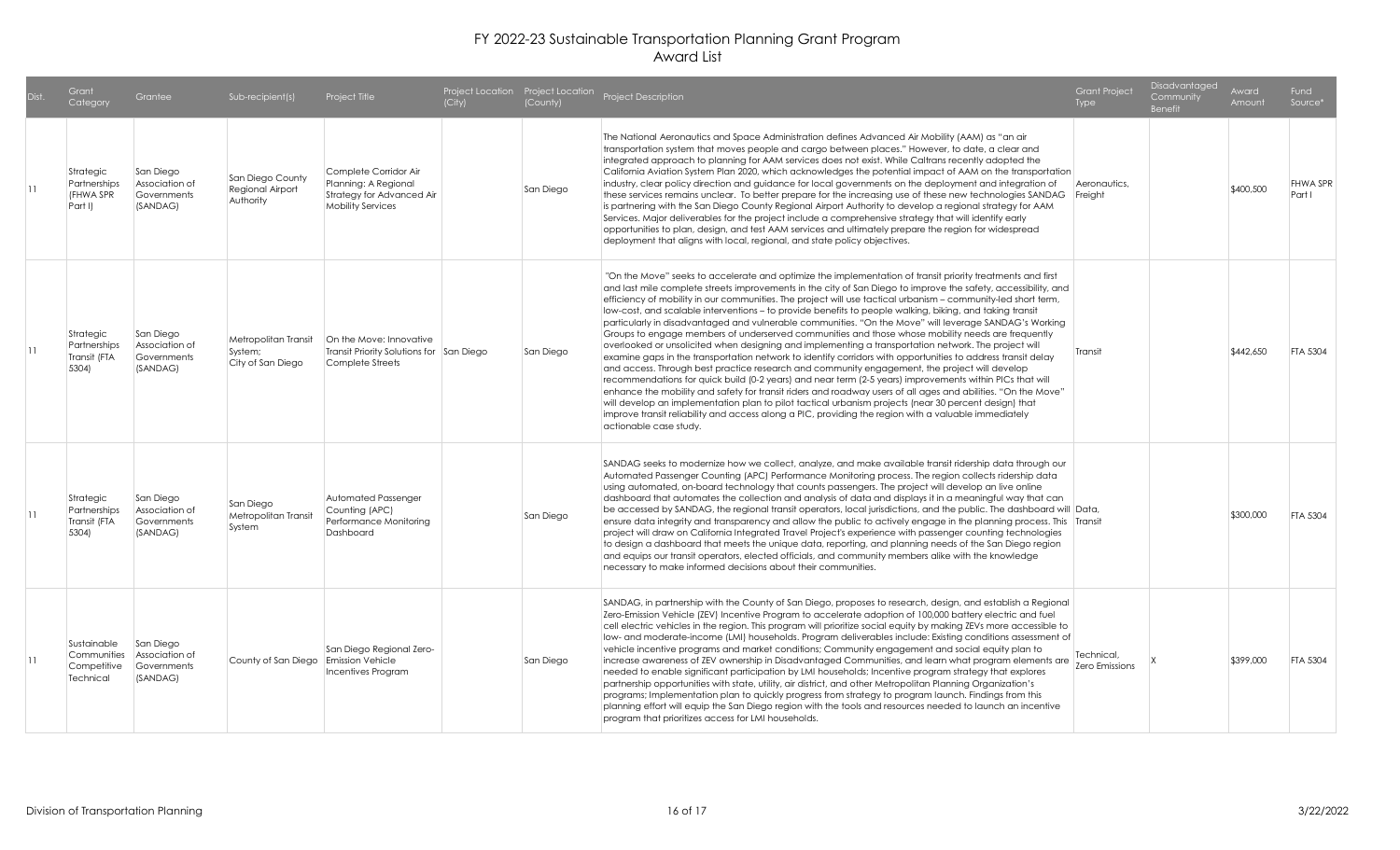| Dist.           | Grant<br>Category                                      | Grantee                                                | Sub-recipient(s)                                     | Project Title                                                                                          | (City) | (County)  | Project Location Project Location Project Description                                                                                                                                                                                                                                                                                                                                                                                                                                                                                                                                                                                                                                                                                                                                                                                                                                                                                                                                                                                                                                                                                                                                                                                                                                                                                                                                                                                                                     | <b>Grant Project</b><br>Type | Disadvantaged<br>Community<br><b>Benefit</b> | Award<br>Amount | Fund<br>Source*           |
|-----------------|--------------------------------------------------------|--------------------------------------------------------|------------------------------------------------------|--------------------------------------------------------------------------------------------------------|--------|-----------|---------------------------------------------------------------------------------------------------------------------------------------------------------------------------------------------------------------------------------------------------------------------------------------------------------------------------------------------------------------------------------------------------------------------------------------------------------------------------------------------------------------------------------------------------------------------------------------------------------------------------------------------------------------------------------------------------------------------------------------------------------------------------------------------------------------------------------------------------------------------------------------------------------------------------------------------------------------------------------------------------------------------------------------------------------------------------------------------------------------------------------------------------------------------------------------------------------------------------------------------------------------------------------------------------------------------------------------------------------------------------------------------------------------------------------------------------------------------------|------------------------------|----------------------------------------------|-----------------|---------------------------|
| $\overline{11}$ | Strategic<br>Partnerships<br>(FHWA SPR<br>Part I)      | San Diego<br>Association of<br>Governments<br>(SANDAG) | San Diego County<br>Regional Airport<br>Authority    | Complete Corridor Air<br>Planning: A Regional<br>Strategy for Advanced Air<br><b>Mobility Services</b> |        | San Diego | The National Aeronautics and Space Administration defines Advanced Air Mobility (AAM) as "an air<br>transportation system that moves people and cargo between places." However, to date, a clear and<br>integrated approach to planning for AAM services does not exist. While Caltrans recently adopted the<br>California Aviation System Plan 2020, which acknowledges the potential impact of AAM on the transportation<br>industry, clear policy direction and guidance for local governments on the deployment and integration of<br>these services remains unclear. To better prepare for the increasing use of these new technologies SANDAG Freight<br>is partnering with the San Diego County Regional Airport Authority to develop a regional strategy for AAM<br>Services. Major deliverables for the project include a comprehensive strategy that will identify early<br>opportunities to plan, design, and test AAM services and ultimately prepare the region for widespread<br>deployment that aligns with local, regional, and state policy objectives.                                                                                                                                                                                                                                                                                                                                                                                                  | Aeronautics,                 |                                              | \$400,500       | <b>FHWA SPR</b><br>Part I |
| 11              | Strategic<br>Partnerships<br>Transit (FTA<br>5304)     | San Diego<br>Association of<br>Governments<br>(SANDAG) | Metropolitan Transit<br>System;<br>City of San Diego | On the Move: Innovative<br>Transit Priority Solutions for San Diego<br>Complete Streets                |        | San Diego | "On the Move" seeks to accelerate and optimize the implementation of transit priority treatments and first<br>and last mile complete streets improvements in the city of San Diego to improve the safety, accessibility, and<br>efficiency of mobility in our communities. The project will use tactical urbanism – community-led short term,<br>low-cost, and scalable interventions – to provide benefits to people walking, biking, and taking transit<br>particularly in disadvantaged and vulnerable communities. "On the Move" will leverage SANDAG's Working<br>Groups to engage members of underserved communities and those whose mobility needs are frequently<br>overlooked or unsolicited when designing and implementing a transportation network. The project will<br>examine gaps in the transportation network to identify corridors with opportunities to address transit delay<br>and access. Through best practice research and community engagement, the project will develop<br>recommendations for quick build (0-2 years) and near term (2-5 years) improvements within PICs that will<br>enhance the mobility and safety for transit riders and roadway users of all ages and abilities. "On the Move"<br>will develop an implementation plan to pilot tactical urbanism projects (near 30 percent design) that<br>improve transit reliability and access along a PIC, providing the region with a valuable immediately<br>actionable case study. | Transit                      |                                              | \$442,650       | <b>FTA 5304</b>           |
| 11              | Strategic<br>Partnerships<br>Transit (FTA<br>5304)     | San Diego<br>Association of<br>Governments<br>(SANDAG) | San Diego<br>Metropolitan Transit<br>System          | Automated Passenger<br>Counting (APC)<br>Performance Monitorina<br>Dashboard                           |        | San Diego | SANDAG seeks to modernize how we collect, analyze, and make available transit ridership data through our<br>Automated Passenger Counting (APC) Performance Monitoring process. The region collects ridership data<br>using automated, on-board technology that counts passengers. The project will develop an live online<br>dashboard that automates the collection and analysis of data and displays it in a meaningful way that can<br>be accessed by SANDAG, the regional transit operators, local jurisdictions, and the public. The dashboard will Data,<br>ensure data integrity and transparency and allow the public to actively engage in the planning process. This Transit<br>project will draw on California Integrated Travel Project's experience with passenger counting technologies<br>to design a dashboard that meets the unique data, reporting, and planning needs of the San Diego region<br>and equips our transit operators, elected officials, and community members alike with the knowledge<br>necessary to make informed decisions about their communities.                                                                                                                                                                                                                                                                                                                                                                                  |                              |                                              | \$300,000       | <b>FTA 5304</b>           |
| 11              | Sustainable<br>Communities<br>Competitive<br>Technical | San Diego<br>Association of<br>Governments<br>(SANDAG) | County of San Diego Emission Vehicle                 | San Diego Regional Zero-<br>Incentives Program                                                         |        | San Diego | SANDAG, in partnership with the County of San Diego, proposes to research, design, and establish a Regional<br>Zero-Emission Vehicle (ZEV) Incentive Program to accelerate adoption of 100,000 battery electric and fuel<br>cell electric vehicles in the region. This program will prioritize social equity by making ZEVs more accessible to<br>low- and moderate-income (LMI) households. Program deliverables include: Existing conditions assessment of<br>vehicle incentive programs and market conditions; Community engagement and social equity plan to<br>increase awareness of ZEV ownership in Disadvantaged Communities, and learn what program elements are<br>needed to enable significant participation by LMI households; Incentive program strategy that explores<br>partnership opportunities with state, utility, air district, and other Metropolitan Planning Organization's<br>programs; Implementation plan to quickly progress from strategy to program launch. Findings from this<br>planning effort will equip the San Diego region with the tools and resources needed to launch an incentive<br>program that prioritizes access for LMI households.                                                                                                                                                                                                                                                                                          | Technical.<br>Zero Emissions |                                              | \$399,000       | <b>FTA 5304</b>           |